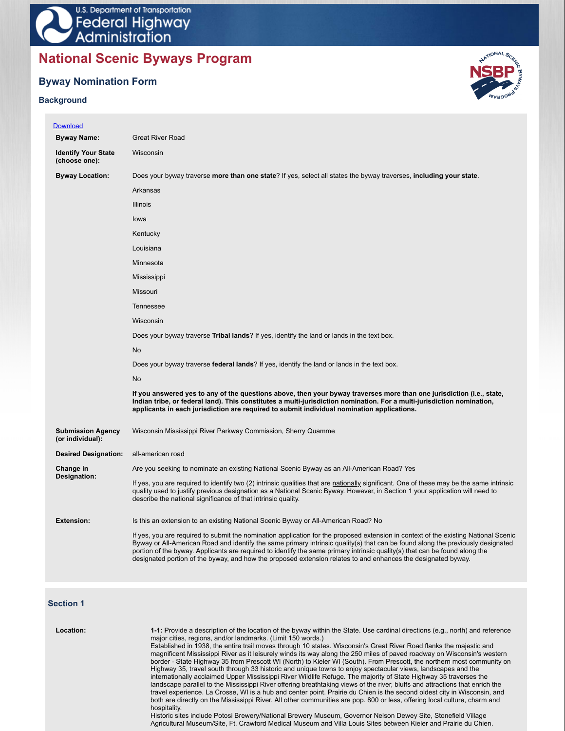# **National Scenic Byways Program**

## **Byway Nomination Form**

### **Background**



| <b>Download</b>                              |                                                                                                                                                                                                                                                                                                                                                                                                                                                                                                                        |
|----------------------------------------------|------------------------------------------------------------------------------------------------------------------------------------------------------------------------------------------------------------------------------------------------------------------------------------------------------------------------------------------------------------------------------------------------------------------------------------------------------------------------------------------------------------------------|
| <b>Byway Name:</b>                           | <b>Great River Road</b>                                                                                                                                                                                                                                                                                                                                                                                                                                                                                                |
| <b>Identify Your State</b><br>(choose one):  | Wisconsin                                                                                                                                                                                                                                                                                                                                                                                                                                                                                                              |
| <b>Byway Location:</b>                       | Does your byway traverse more than one state? If yes, select all states the byway traverses, including your state.                                                                                                                                                                                                                                                                                                                                                                                                     |
|                                              | Arkansas                                                                                                                                                                                                                                                                                                                                                                                                                                                                                                               |
|                                              | <b>Illinois</b>                                                                                                                                                                                                                                                                                                                                                                                                                                                                                                        |
|                                              | lowa                                                                                                                                                                                                                                                                                                                                                                                                                                                                                                                   |
|                                              | Kentucky                                                                                                                                                                                                                                                                                                                                                                                                                                                                                                               |
|                                              | Louisiana                                                                                                                                                                                                                                                                                                                                                                                                                                                                                                              |
|                                              | Minnesota                                                                                                                                                                                                                                                                                                                                                                                                                                                                                                              |
|                                              | Mississippi                                                                                                                                                                                                                                                                                                                                                                                                                                                                                                            |
|                                              | Missouri                                                                                                                                                                                                                                                                                                                                                                                                                                                                                                               |
|                                              | Tennessee                                                                                                                                                                                                                                                                                                                                                                                                                                                                                                              |
|                                              | Wisconsin                                                                                                                                                                                                                                                                                                                                                                                                                                                                                                              |
|                                              | Does your byway traverse <b>Tribal lands</b> ? If yes, identify the land or lands in the text box.                                                                                                                                                                                                                                                                                                                                                                                                                     |
|                                              | No                                                                                                                                                                                                                                                                                                                                                                                                                                                                                                                     |
|                                              | Does your byway traverse federal lands? If yes, identify the land or lands in the text box.                                                                                                                                                                                                                                                                                                                                                                                                                            |
|                                              | <b>No</b>                                                                                                                                                                                                                                                                                                                                                                                                                                                                                                              |
|                                              | If you answered yes to any of the questions above, then your byway traverses more than one jurisdiction (i.e., state,<br>Indian tribe, or federal land). This constitutes a multi-jurisdiction nomination. For a multi-jurisdiction nomination,<br>applicants in each jurisdiction are required to submit individual nomination applications.                                                                                                                                                                          |
| <b>Submission Agency</b><br>(or individual): | Wisconsin Mississippi River Parkway Commission, Sherry Quamme                                                                                                                                                                                                                                                                                                                                                                                                                                                          |
| <b>Desired Designation:</b>                  | all-american road                                                                                                                                                                                                                                                                                                                                                                                                                                                                                                      |
| Change in                                    | Are you seeking to nominate an existing National Scenic Byway as an All-American Road? Yes                                                                                                                                                                                                                                                                                                                                                                                                                             |
| Designation:                                 | If yes, you are required to identify two (2) intrinsic qualities that are nationally significant. One of these may be the same intrinsic<br>quality used to justify previous designation as a National Scenic Byway. However, in Section 1 your application will need to<br>describe the national significance of that intrinsic quality.                                                                                                                                                                              |
| <b>Extension:</b>                            | Is this an extension to an existing National Scenic Byway or All-American Road? No                                                                                                                                                                                                                                                                                                                                                                                                                                     |
|                                              | If yes, you are required to submit the nomination application for the proposed extension in context of the existing National Scenic<br>Byway or All-American Road and identify the same primary intrinsic quality(s) that can be found along the previously designated<br>portion of the byway. Applicants are required to identify the same primary intrinsic quality(s) that can be found along the<br>designated portion of the byway, and how the proposed extension relates to and enhances the designated byway. |

### **Section 1**

| Location: | 1-1: Provide a description of the location of the byway within the State. Use cardinal directions (e.g., north) and reference<br>major cities, regions, and/or landmarks. (Limit 150 words.)<br>Established in 1938, the entire trail moves through 10 states. Wisconsin's Great River Road flanks the majestic and |
|-----------|---------------------------------------------------------------------------------------------------------------------------------------------------------------------------------------------------------------------------------------------------------------------------------------------------------------------|
|           | magnificent Mississippi River as it leisurely winds its way along the 250 miles of paved roadway on Wisconsin's western                                                                                                                                                                                             |
|           | border - State Highway 35 from Prescott WI (North) to Kieler WI (South). From Prescott, the northern most community on                                                                                                                                                                                              |
|           | Highway 35, travel south through 33 historic and unique towns to enjoy spectacular views, landscapes and the                                                                                                                                                                                                        |
|           | internationally acclaimed Upper Mississippi River Wildlife Refuge. The majority of State Highway 35 traverses the                                                                                                                                                                                                   |
|           | landscape parallel to the Mississippi River offering breathtaking views of the river, bluffs and attractions that enrich the                                                                                                                                                                                        |
|           | travel experience. La Crosse, WI is a hub and center point. Prairie du Chien is the second oldest city in Wisconsin, and                                                                                                                                                                                            |
|           | both are directly on the Mississippi River. All other communities are pop. 800 or less, offering local culture, charm and                                                                                                                                                                                           |
|           | hospitality.                                                                                                                                                                                                                                                                                                        |
|           | Historic sites include Potosi Brewery/National Brewery Museum, Governor Nelson Dewey Site, Stonefield Village                                                                                                                                                                                                       |
|           | Agricultural Museum/Site, Ft. Crawford Medical Museum and Villa Louis Sites between Kieler and Prairie du Chien.                                                                                                                                                                                                    |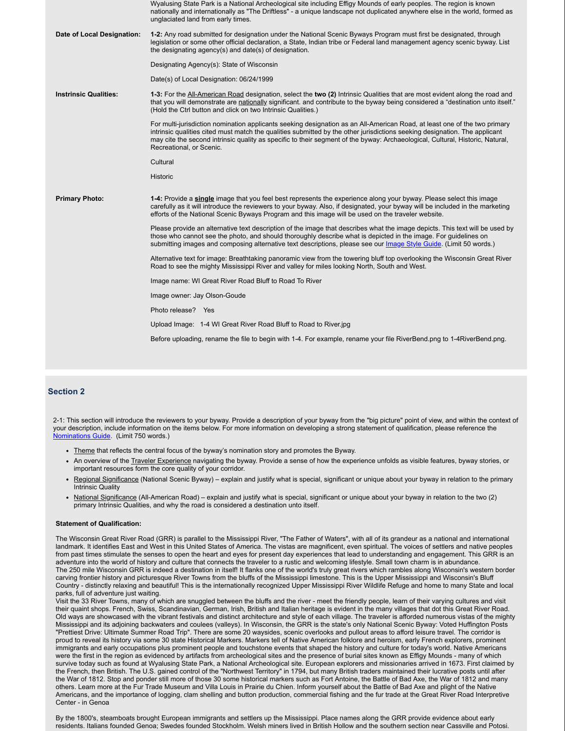|                              | Wyalusing State Park is a National Archeological site including Effigy Mounds of early peoples. The region is known<br>nationally and internationally as "The Driftless" - a unique landscape not duplicated anywhere else in the world, formed as<br>unglaciated land from early times.                                                                                                                             |
|------------------------------|----------------------------------------------------------------------------------------------------------------------------------------------------------------------------------------------------------------------------------------------------------------------------------------------------------------------------------------------------------------------------------------------------------------------|
| Date of Local Designation:   | 1-2: Any road submitted for designation under the National Scenic Byways Program must first be designated, through<br>legislation or some other official declaration, a State, Indian tribe or Federal land management agency scenic byway. List<br>the designating agency(s) and date(s) of designation.                                                                                                            |
|                              | Designating Agency(s): State of Wisconsin                                                                                                                                                                                                                                                                                                                                                                            |
|                              | Date(s) of Local Designation: 06/24/1999                                                                                                                                                                                                                                                                                                                                                                             |
| <b>Instrinsic Qualities:</b> | 1-3: For the All-American Road designation, select the two (2) Intrinsic Qualities that are most evident along the road and<br>that you will demonstrate are nationally significant, and contribute to the byway being considered a "destination unto itself."<br>(Hold the Ctrl button and click on two Intrinsic Qualities.)                                                                                       |
|                              | For multi-jurisdiction nomination applicants seeking designation as an All-American Road, at least one of the two primary<br>intrinsic qualities cited must match the qualities submitted by the other jurisdictions seeking designation. The applicant<br>may cite the second intrinsic quality as specific to their segment of the byway: Archaeological, Cultural, Historic, Natural,<br>Recreational, or Scenic. |
|                              | Cultural                                                                                                                                                                                                                                                                                                                                                                                                             |
|                              | Historic                                                                                                                                                                                                                                                                                                                                                                                                             |
| <b>Primary Photo:</b>        | 1-4: Provide a single image that you feel best represents the experience along your byway. Please select this image<br>carefully as it will introduce the reviewers to your byway. Also, if designated, your byway will be included in the marketing<br>efforts of the National Scenic Byways Program and this image will be used on the traveler website.                                                           |
|                              | Please provide an alternative text description of the image that describes what the image depicts. This text will be used by<br>those who cannot see the photo, and should thoroughly describe what is depicted in the image. For quidelines on<br>submitting images and composing alternative text descriptions, please see our Image Style Guide. (Limit 50 words.)                                                |
|                              | Alternative text for image: Breathtaking panoramic view from the towering bluff top overlooking the Wisconsin Great River<br>Road to see the mighty Mississippi River and valley for miles looking North, South and West.                                                                                                                                                                                            |
|                              | Image name: WI Great River Road Bluff to Road To River                                                                                                                                                                                                                                                                                                                                                               |
|                              | Image owner: Jay Olson-Goude                                                                                                                                                                                                                                                                                                                                                                                         |
|                              | Photo release? Yes                                                                                                                                                                                                                                                                                                                                                                                                   |
|                              | Upload Image: 1-4 WI Great River Road Bluff to Road to River.jpg                                                                                                                                                                                                                                                                                                                                                     |
|                              | Before uploading, rename the file to begin with 1-4. For example, rename your file RiverBend.png to 1-4RiverBend.png.                                                                                                                                                                                                                                                                                                |
|                              |                                                                                                                                                                                                                                                                                                                                                                                                                      |

### **Section 2**

2-1: This section will introduce the reviewers to your byway. Provide a description of your byway from the "big picture" point of view, and within the context of your description, include information on the items below. For more information on developing a strong statement of qualification, please reference the Nominations Guide. (Limit 750 words.)

- Theme that reflects the central focus of the byway's nomination story and promotes the Byway.
- An overview of the Traveler Experience navigating the byway. Provide a sense of how the experience unfolds as visible features, byway stories, or important resources form the core quality of your corridor.
- Regional Significance (National Scenic Byway) explain and justify what is special, significant or unique about your byway in relation to the primary Intrinsic Quality
- National Significance (All-American Road) explain and justify what is special, significant or unique about your byway in relation to the two (2) primary Intrinsic Qualities, and why the road is considered a destination unto itself.

### **Statement of Qualification:**

The Wisconsin Great River Road (GRR) is parallel to the Mississippi River, "The Father of Waters", with all of its grandeur as a national and international landmark. It identifies East and West in this United States of America. The vistas are magnificent, even spiritual. The voices of settlers and native peoples from past times stimulate the senses to open the heart and eyes for present day experiences that lead to understanding and engagement. This GRR is an adventure into the world of history and culture that connects the traveler to a rustic and welcoming lifestyle. Small town charm is in abundance. The 250 mile Wisconsin GRR is indeed a destination in itself! It flanks one of the world's truly great rivers which rambles along Wisconsin's western border carving frontier history and picturesque River Towns from the bluffs of the Mississippi limestone. This is the Upper Mississippi and Wisconsin's Bluff Country - distinctly relaxing and beautiful! This is the internationally recognized Upper Mississippi River Wildlife Refuge and home to many State and local parks, full of adventure just waiting.

Visit the 33 River Towns, many of which are snuggled between the bluffs and the river - meet the friendly people, learn of their varying cultures and visit their quaint shops. French, Swiss, Scandinavian, German, Irish, British and Italian heritage is evident in the many villages that dot this Great River Road. Old ways are showcased with the vibrant festivals and distinct architecture and style of each village. The traveler is afforded numerous vistas of the mighty Mississippi and its adjoining backwaters and coulees (valleys). In Wisconsin, the GRR is the state's only National Scenic Byway: Voted Huffington Posts "Prettiest Drive: Ultimate Summer Road Trip". There are some 20 waysides, scenic overlooks and pullout areas to afford leisure travel. The corridor is proud to reveal its history via some 30 state Historical Markers. Markers tell of Native American folklore and heroism, early French explorers, prominent immigrants and early occupations plus prominent people and touchstone events that shaped the history and culture for today's world. Native Americans were the first in the region as evidenced by artifacts from archeological sites and the presence of burial sites known as Effigy Mounds - many of which survive today such as found at Wyalusing State Park, a National Archeological site. European explorers and missionaries arrived in 1673. First claimed by the French, then British. The U.S. gained control of the "Northwest Territory" in 1794, but many British traders maintained their lucrative posts until after the War of 1812. Stop and ponder still more of those 30 some historical markers such as Fort Antoine, the Battle of Bad Axe, the War of 1812 and many others. Learn more at the Fur Trade Museum and Villa Louis in Prairie du Chien. Inform yourself about the Battle of Bad Axe and plight of the Native Americans, and the importance of logging, clam shelling and button production, commercial fishing and the fur trade at the Great River Road Interpretive Center - in Genoa

By the 1800's, steamboats brought European immigrants and settlers up the Mississippi. Place names along the GRR provide evidence about early residents. Italians founded Genoa; Swedes founded Stockholm. Welsh miners lived in British Hollow and the southern section near Cassville and Potosi.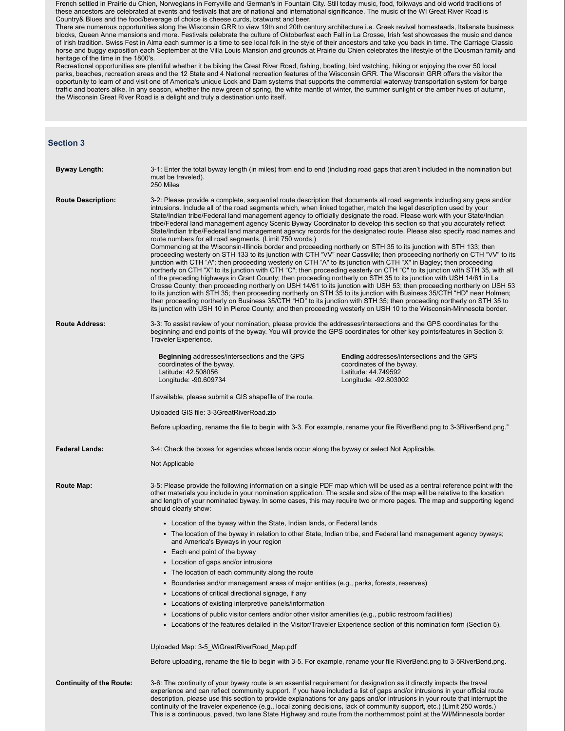French settled in Prairie du Chien, Norwegians in Ferryville and German's in Fountain City. Still today music, food, folkways and old world traditions of these ancestors are celebrated at events and festivals that are of national and international significance. The music of the WI Great River Road is Country& Blues and the food/beverage of choice is cheese curds, bratwurst and beer.

There are numerous opportunities along the Wisconsin GRR to view 19th and 20th century architecture i.e. Greek revival homesteads, Italianate business blocks, Queen Anne mansions and more. Festivals celebrate the culture of Oktoberfest each Fall in La Crosse, Irish fest showcases the music and dance of Irish tradition. Swiss Fest in Alma each summer is a time to see local folk in the style of their ancestors and take you back in time. The Carriage Classic horse and buggy exposition each September at the Villa Louis Mansion and grounds at Prairie du Chien celebrates the lifestyle of the Dousman family and heritage of the time in the 1800's.

Recreational opportunities are plentiful whether it be biking the Great River Road, fishing, boating, bird watching, hiking or enjoying the over 50 local parks, beaches, recreation areas and the 12 State and 4 National recreation features of the Wisconsin GRR. The Wisconsin GRR offers the visitor the opportunity to learn of and visit one of America's unique Lock and Dam systems that supports the commercial waterway transportation system for barge traffic and boaters alike. In any season, whether the new green of spring, the white mantle of winter, the summer sunlight or the amber hues of autumn, the Wisconsin Great River Road is a delight and truly a destination unto itself.

### **Section 3**

| <b>Byway Length:</b>            | 3-1: Enter the total byway length (in miles) from end to end (including road gaps that aren't included in the nomination but<br>must be traveled).<br>250 Miles                                                                                                                                                                                                                                                                                                                                                                                                                                                                                                                                                                                                                                                                                                                                                                                                                                                                                                                                                                                                                                                                                                                                                                                                                                                                                                                                                                                                                                                                                                                                                                                                                                                           |                                                                                                                         |  |  |
|---------------------------------|---------------------------------------------------------------------------------------------------------------------------------------------------------------------------------------------------------------------------------------------------------------------------------------------------------------------------------------------------------------------------------------------------------------------------------------------------------------------------------------------------------------------------------------------------------------------------------------------------------------------------------------------------------------------------------------------------------------------------------------------------------------------------------------------------------------------------------------------------------------------------------------------------------------------------------------------------------------------------------------------------------------------------------------------------------------------------------------------------------------------------------------------------------------------------------------------------------------------------------------------------------------------------------------------------------------------------------------------------------------------------------------------------------------------------------------------------------------------------------------------------------------------------------------------------------------------------------------------------------------------------------------------------------------------------------------------------------------------------------------------------------------------------------------------------------------------------|-------------------------------------------------------------------------------------------------------------------------|--|--|
| <b>Route Description:</b>       | 3-2: Please provide a complete, sequential route description that documents all road segments including any gaps and/or<br>intrusions. Include all of the road segments which, when linked together, match the legal description used by your<br>State/Indian tribe/Federal land management agency to officially designate the road. Please work with your State/Indian<br>tribe/Federal land management agency Scenic Byway Coordinator to develop this section so that you accurately reflect<br>State/Indian tribe/Federal land management agency records for the designated route. Please also specify road names and<br>route numbers for all road segments. (Limit 750 words.)<br>Commencing at the Wisconsin-Illinois border and proceeding northerly on STH 35 to its junction with STH 133; then<br>proceeding westerly on STH 133 to its junction with CTH "VV" near Cassville; then proceeding northerly on CTH "VV" to its<br>junction with CTH "A"; then proceeding westerly on CTH "A" to its junction with CTH "X" in Bagley; then proceeding<br>northerly on CTH "X" to its junction with CTH "C"; then proceeding easterly on CTH "C" to its junction with STH 35, with all<br>of the preceding highways in Grant County; then proceeding northerly on STH 35 to its junction with USH 14/61 in La<br>Crosse County, then proceeding northerly on USH 14/61 to its junction with USH 53; then proceeding northerly on USH 53<br>to its junction with STH 35; then proceeding northerly on STH 35 to its junction with Business 35/CTH "HD" near Holmen;<br>then proceeding northerly on Business 35/CTH "HD" to its junction with STH 35; then proceeding northerly on STH 35 to<br>its junction with USH 10 in Pierce County; and then proceeding westerly on USH 10 to the Wisconsin-Minnesota border. |                                                                                                                         |  |  |
| <b>Route Address:</b>           | 3-3: To assist review of your nomination, please provide the addresses/intersections and the GPS coordinates for the<br>beginning and end points of the byway. You will provide the GPS coordinates for other key points/features in Section 5:<br>Traveler Experience.                                                                                                                                                                                                                                                                                                                                                                                                                                                                                                                                                                                                                                                                                                                                                                                                                                                                                                                                                                                                                                                                                                                                                                                                                                                                                                                                                                                                                                                                                                                                                   |                                                                                                                         |  |  |
|                                 | Beginning addresses/intersections and the GPS<br>coordinates of the byway.<br>Latitude: 42.508056<br>Longitude: -90.609734                                                                                                                                                                                                                                                                                                                                                                                                                                                                                                                                                                                                                                                                                                                                                                                                                                                                                                                                                                                                                                                                                                                                                                                                                                                                                                                                                                                                                                                                                                                                                                                                                                                                                                | Ending addresses/intersections and the GPS<br>coordinates of the byway.<br>Latitude: 44.749592<br>Longitude: -92.803002 |  |  |
|                                 | If available, please submit a GIS shapefile of the route.                                                                                                                                                                                                                                                                                                                                                                                                                                                                                                                                                                                                                                                                                                                                                                                                                                                                                                                                                                                                                                                                                                                                                                                                                                                                                                                                                                                                                                                                                                                                                                                                                                                                                                                                                                 |                                                                                                                         |  |  |
|                                 | Uploaded GIS file: 3-3GreatRiverRoad.zip                                                                                                                                                                                                                                                                                                                                                                                                                                                                                                                                                                                                                                                                                                                                                                                                                                                                                                                                                                                                                                                                                                                                                                                                                                                                                                                                                                                                                                                                                                                                                                                                                                                                                                                                                                                  |                                                                                                                         |  |  |
|                                 |                                                                                                                                                                                                                                                                                                                                                                                                                                                                                                                                                                                                                                                                                                                                                                                                                                                                                                                                                                                                                                                                                                                                                                                                                                                                                                                                                                                                                                                                                                                                                                                                                                                                                                                                                                                                                           |                                                                                                                         |  |  |
|                                 | Before uploading, rename the file to begin with 3-3. For example, rename your file RiverBend.png to 3-3RiverBend.png."                                                                                                                                                                                                                                                                                                                                                                                                                                                                                                                                                                                                                                                                                                                                                                                                                                                                                                                                                                                                                                                                                                                                                                                                                                                                                                                                                                                                                                                                                                                                                                                                                                                                                                    |                                                                                                                         |  |  |
| <b>Federal Lands:</b>           | 3-4: Check the boxes for agencies whose lands occur along the byway or select Not Applicable.                                                                                                                                                                                                                                                                                                                                                                                                                                                                                                                                                                                                                                                                                                                                                                                                                                                                                                                                                                                                                                                                                                                                                                                                                                                                                                                                                                                                                                                                                                                                                                                                                                                                                                                             |                                                                                                                         |  |  |
|                                 | Not Applicable                                                                                                                                                                                                                                                                                                                                                                                                                                                                                                                                                                                                                                                                                                                                                                                                                                                                                                                                                                                                                                                                                                                                                                                                                                                                                                                                                                                                                                                                                                                                                                                                                                                                                                                                                                                                            |                                                                                                                         |  |  |
| Route Map:                      | 3-5: Please provide the following information on a single PDF map which will be used as a central reference point with the<br>other materials you include in your nomination application. The scale and size of the map will be relative to the location<br>and length of your nominated byway. In some cases, this may require two or more pages. The map and supporting legend<br>should clearly show:                                                                                                                                                                                                                                                                                                                                                                                                                                                                                                                                                                                                                                                                                                                                                                                                                                                                                                                                                                                                                                                                                                                                                                                                                                                                                                                                                                                                                  |                                                                                                                         |  |  |
|                                 | • Location of the byway within the State, Indian lands, or Federal lands                                                                                                                                                                                                                                                                                                                                                                                                                                                                                                                                                                                                                                                                                                                                                                                                                                                                                                                                                                                                                                                                                                                                                                                                                                                                                                                                                                                                                                                                                                                                                                                                                                                                                                                                                  |                                                                                                                         |  |  |
|                                 | • The location of the byway in relation to other State, Indian tribe, and Federal land management agency byways;<br>and America's Byways in your region                                                                                                                                                                                                                                                                                                                                                                                                                                                                                                                                                                                                                                                                                                                                                                                                                                                                                                                                                                                                                                                                                                                                                                                                                                                                                                                                                                                                                                                                                                                                                                                                                                                                   |                                                                                                                         |  |  |
|                                 | • Each end point of the byway                                                                                                                                                                                                                                                                                                                                                                                                                                                                                                                                                                                                                                                                                                                                                                                                                                                                                                                                                                                                                                                                                                                                                                                                                                                                                                                                                                                                                                                                                                                                                                                                                                                                                                                                                                                             |                                                                                                                         |  |  |
|                                 | • Location of gaps and/or intrusions                                                                                                                                                                                                                                                                                                                                                                                                                                                                                                                                                                                                                                                                                                                                                                                                                                                                                                                                                                                                                                                                                                                                                                                                                                                                                                                                                                                                                                                                                                                                                                                                                                                                                                                                                                                      |                                                                                                                         |  |  |
|                                 | The location of each community along the route                                                                                                                                                                                                                                                                                                                                                                                                                                                                                                                                                                                                                                                                                                                                                                                                                                                                                                                                                                                                                                                                                                                                                                                                                                                                                                                                                                                                                                                                                                                                                                                                                                                                                                                                                                            |                                                                                                                         |  |  |
|                                 | • Boundaries and/or management areas of major entities (e.g., parks, forests, reserves)                                                                                                                                                                                                                                                                                                                                                                                                                                                                                                                                                                                                                                                                                                                                                                                                                                                                                                                                                                                                                                                                                                                                                                                                                                                                                                                                                                                                                                                                                                                                                                                                                                                                                                                                   |                                                                                                                         |  |  |
|                                 | • Locations of critical directional signage, if any                                                                                                                                                                                                                                                                                                                                                                                                                                                                                                                                                                                                                                                                                                                                                                                                                                                                                                                                                                                                                                                                                                                                                                                                                                                                                                                                                                                                                                                                                                                                                                                                                                                                                                                                                                       |                                                                                                                         |  |  |
|                                 | • Locations of existing interpretive panels/information                                                                                                                                                                                                                                                                                                                                                                                                                                                                                                                                                                                                                                                                                                                                                                                                                                                                                                                                                                                                                                                                                                                                                                                                                                                                                                                                                                                                                                                                                                                                                                                                                                                                                                                                                                   |                                                                                                                         |  |  |
|                                 | • Locations of public visitor centers and/or other visitor amenities (e.g., public restroom facilities)                                                                                                                                                                                                                                                                                                                                                                                                                                                                                                                                                                                                                                                                                                                                                                                                                                                                                                                                                                                                                                                                                                                                                                                                                                                                                                                                                                                                                                                                                                                                                                                                                                                                                                                   |                                                                                                                         |  |  |
|                                 | • Locations of the features detailed in the Visitor/Traveler Experience section of this nomination form (Section 5).                                                                                                                                                                                                                                                                                                                                                                                                                                                                                                                                                                                                                                                                                                                                                                                                                                                                                                                                                                                                                                                                                                                                                                                                                                                                                                                                                                                                                                                                                                                                                                                                                                                                                                      |                                                                                                                         |  |  |
|                                 | Uploaded Map: 3-5_WiGreatRiverRoad_Map.pdf                                                                                                                                                                                                                                                                                                                                                                                                                                                                                                                                                                                                                                                                                                                                                                                                                                                                                                                                                                                                                                                                                                                                                                                                                                                                                                                                                                                                                                                                                                                                                                                                                                                                                                                                                                                |                                                                                                                         |  |  |
|                                 | Before uploading, rename the file to begin with 3-5. For example, rename your file RiverBend.png to 3-5RiverBend.png.                                                                                                                                                                                                                                                                                                                                                                                                                                                                                                                                                                                                                                                                                                                                                                                                                                                                                                                                                                                                                                                                                                                                                                                                                                                                                                                                                                                                                                                                                                                                                                                                                                                                                                     |                                                                                                                         |  |  |
| <b>Continuity of the Route:</b> | 3-6: The continuity of your byway route is an essential requirement for designation as it directly impacts the travel<br>experience and can reflect community support. If you have included a list of gaps and/or intrusions in your official route<br>description, please use this section to provide explanations for any gaps and/or intrusions in your route that interrupt the                                                                                                                                                                                                                                                                                                                                                                                                                                                                                                                                                                                                                                                                                                                                                                                                                                                                                                                                                                                                                                                                                                                                                                                                                                                                                                                                                                                                                                       |                                                                                                                         |  |  |

continuity of the traveler experience (e.g., local zoning decisions, lack of community support, etc.) (Limit 250 words.) This is a continuous, paved, two lane State Highway and route from the northernmost point at the WI/Minnesota border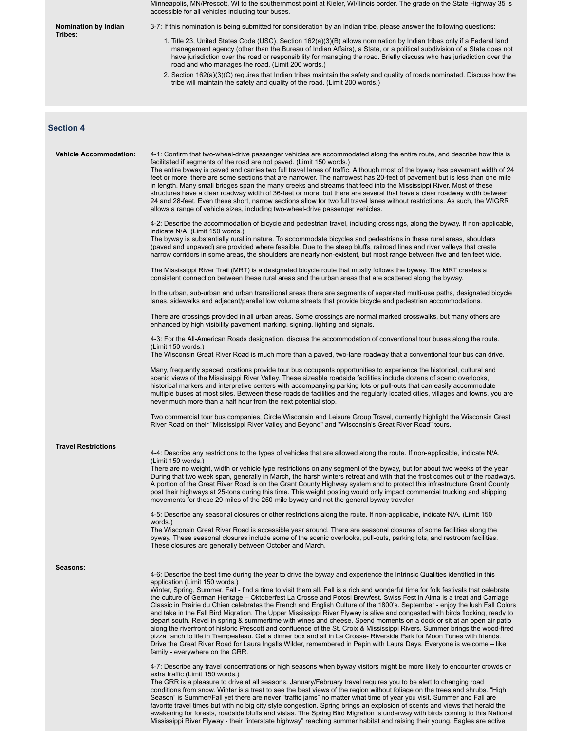|                               | Minneapolis, MN/Prescott, WI to the southernmost point at Kieler, WI/Ilinois border. The grade on the State Highway 35 is<br>accessible for all vehicles including tour buses.                                                                                                                                                                                                                                                                                                                                                                                                                                                                                                                                                                                                                                                                                                                                                                                                                                                                                                                                                                                                                                                                                                                                                                                                                                                                                                                                                                                                                                                                                                                                                                                                                                                                                                                                                                                                                                                                                                                                                                                            |
|-------------------------------|---------------------------------------------------------------------------------------------------------------------------------------------------------------------------------------------------------------------------------------------------------------------------------------------------------------------------------------------------------------------------------------------------------------------------------------------------------------------------------------------------------------------------------------------------------------------------------------------------------------------------------------------------------------------------------------------------------------------------------------------------------------------------------------------------------------------------------------------------------------------------------------------------------------------------------------------------------------------------------------------------------------------------------------------------------------------------------------------------------------------------------------------------------------------------------------------------------------------------------------------------------------------------------------------------------------------------------------------------------------------------------------------------------------------------------------------------------------------------------------------------------------------------------------------------------------------------------------------------------------------------------------------------------------------------------------------------------------------------------------------------------------------------------------------------------------------------------------------------------------------------------------------------------------------------------------------------------------------------------------------------------------------------------------------------------------------------------------------------------------------------------------------------------------------------|
| Nomination by Indian          | 3-7: If this nomination is being submitted for consideration by an <i>Indian tribe</i> , please answer the following questions:                                                                                                                                                                                                                                                                                                                                                                                                                                                                                                                                                                                                                                                                                                                                                                                                                                                                                                                                                                                                                                                                                                                                                                                                                                                                                                                                                                                                                                                                                                                                                                                                                                                                                                                                                                                                                                                                                                                                                                                                                                           |
| Tribes:                       | 1. Title 23, United States Code (USC), Section 162(a)(3)(B) allows nomination by Indian tribes only if a Federal land<br>management agency (other than the Bureau of Indian Affairs), a State, or a political subdivision of a State does not<br>have jurisdiction over the road or responsibility for managing the road. Briefly discuss who has jurisdiction over the<br>road and who manages the road. (Limit 200 words.)<br>2. Section 162(a)(3)(C) requires that Indian tribes maintain the safety and quality of roads nominated. Discuss how the                                                                                                                                                                                                                                                                                                                                                                                                                                                                                                                                                                                                                                                                                                                                                                                                                                                                                                                                                                                                                                                                                                                                                                                                                                                                                                                                                                                                                                                                                                                                                                                                                   |
|                               | tribe will maintain the safety and quality of the road. (Limit 200 words.)                                                                                                                                                                                                                                                                                                                                                                                                                                                                                                                                                                                                                                                                                                                                                                                                                                                                                                                                                                                                                                                                                                                                                                                                                                                                                                                                                                                                                                                                                                                                                                                                                                                                                                                                                                                                                                                                                                                                                                                                                                                                                                |
| <b>Section 4</b>              |                                                                                                                                                                                                                                                                                                                                                                                                                                                                                                                                                                                                                                                                                                                                                                                                                                                                                                                                                                                                                                                                                                                                                                                                                                                                                                                                                                                                                                                                                                                                                                                                                                                                                                                                                                                                                                                                                                                                                                                                                                                                                                                                                                           |
| <b>Vehicle Accommodation:</b> | 4-1: Confirm that two-wheel-drive passenger vehicles are accommodated along the entire route, and describe how this is<br>facilitated if segments of the road are not paved. (Limit 150 words.)<br>The entire byway is paved and carries two full travel lanes of traffic. Although most of the byway has pavement width of 24<br>feet or more, there are some sections that are narrower. The narrowest has 20-feet of pavement but is less than one mile<br>in length. Many small bridges span the many creeks and streams that feed into the Mississippi River. Most of these<br>structures have a clear roadway width of 36-feet or more, but there are several that have a clear roadway width between<br>24 and 28-feet. Even these short, narrow sections allow for two full travel lanes without restrictions. As such, the WIGRR<br>allows a range of vehicle sizes, including two-wheel-drive passenger vehicles.                                                                                                                                                                                                                                                                                                                                                                                                                                                                                                                                                                                                                                                                                                                                                                                                                                                                                                                                                                                                                                                                                                                                                                                                                                               |
|                               | 4-2: Describe the accommodation of bicycle and pedestrian travel, including crossings, along the byway. If non-applicable,<br>indicate N/A. (Limit 150 words.)<br>The byway is substantially rural in nature. To accommodate bicycles and pedestrians in these rural areas, shoulders<br>(paved and unpaved) are provided where feasible. Due to the steep bluffs, railroad lines and river valleys that create<br>narrow corridors in some areas, the shoulders are nearly non-existent, but most range between five and ten feet wide.                                                                                                                                                                                                                                                                                                                                                                                                                                                                                                                                                                                                                                                                                                                                                                                                                                                                                                                                                                                                                                                                                                                                                                                                                                                                                                                                                                                                                                                                                                                                                                                                                                  |
|                               | The Mississippi River Trail (MRT) is a designated bicycle route that mostly follows the byway. The MRT creates a<br>consistent connection between these rural areas and the urban areas that are scattered along the byway.                                                                                                                                                                                                                                                                                                                                                                                                                                                                                                                                                                                                                                                                                                                                                                                                                                                                                                                                                                                                                                                                                                                                                                                                                                                                                                                                                                                                                                                                                                                                                                                                                                                                                                                                                                                                                                                                                                                                               |
|                               | In the urban, sub-urban and urban transitional areas there are segments of separated multi-use paths, designated bicycle<br>lanes, sidewalks and adjacent/parallel low volume streets that provide bicycle and pedestrian accommodations.                                                                                                                                                                                                                                                                                                                                                                                                                                                                                                                                                                                                                                                                                                                                                                                                                                                                                                                                                                                                                                                                                                                                                                                                                                                                                                                                                                                                                                                                                                                                                                                                                                                                                                                                                                                                                                                                                                                                 |
|                               | There are crossings provided in all urban areas. Some crossings are normal marked crosswalks, but many others are<br>enhanced by high visibility pavement marking, signing, lighting and signals.                                                                                                                                                                                                                                                                                                                                                                                                                                                                                                                                                                                                                                                                                                                                                                                                                                                                                                                                                                                                                                                                                                                                                                                                                                                                                                                                                                                                                                                                                                                                                                                                                                                                                                                                                                                                                                                                                                                                                                         |
|                               | 4-3: For the All-American Roads designation, discuss the accommodation of conventional tour buses along the route.<br>(Limit 150 words.)<br>The Wisconsin Great River Road is much more than a paved, two-lane roadway that a conventional tour bus can drive.                                                                                                                                                                                                                                                                                                                                                                                                                                                                                                                                                                                                                                                                                                                                                                                                                                                                                                                                                                                                                                                                                                                                                                                                                                                                                                                                                                                                                                                                                                                                                                                                                                                                                                                                                                                                                                                                                                            |
|                               | Many, frequently spaced locations provide tour bus occupants opportunities to experience the historical, cultural and<br>scenic views of the Mississippi River Valley. These sizeable roadside facilities include dozens of scenic overlooks,<br>historical markers and interpretive centers with accompanying parking lots or pull-outs that can easily accommodate<br>multiple buses at most sites. Between these roadside facilities and the regularly located cities, villages and towns, you are<br>never much more than a half hour from the next potential stop.                                                                                                                                                                                                                                                                                                                                                                                                                                                                                                                                                                                                                                                                                                                                                                                                                                                                                                                                                                                                                                                                                                                                                                                                                                                                                                                                                                                                                                                                                                                                                                                                   |
|                               | Two commercial tour bus companies, Circle Wisconsin and Leisure Group Travel, currently highlight the Wisconsin Great<br>River Road on their "Mississippi River Valley and Beyond" and "Wisconsin's Great River Road" tours.                                                                                                                                                                                                                                                                                                                                                                                                                                                                                                                                                                                                                                                                                                                                                                                                                                                                                                                                                                                                                                                                                                                                                                                                                                                                                                                                                                                                                                                                                                                                                                                                                                                                                                                                                                                                                                                                                                                                              |
| <b>Travel Restrictions</b>    | 4-4: Describe any restrictions to the types of vehicles that are allowed along the route. If non-applicable, indicate N/A.                                                                                                                                                                                                                                                                                                                                                                                                                                                                                                                                                                                                                                                                                                                                                                                                                                                                                                                                                                                                                                                                                                                                                                                                                                                                                                                                                                                                                                                                                                                                                                                                                                                                                                                                                                                                                                                                                                                                                                                                                                                |
|                               | (Limit 150 words.)<br>There are no weight, width or vehicle type restrictions on any segment of the byway, but for about two weeks of the year.<br>During that two week span, generally in March, the harsh winters retreat and with that the frost comes out of the roadways.<br>A portion of the Great River Road is on the Grant County Highway system and to protect this infrastructure Grant County<br>post their highways at 25-tons during this time. This weight posting would only impact commercial trucking and shipping<br>movements for these 29-miles of the 250-mile byway and not the general byway traveler.                                                                                                                                                                                                                                                                                                                                                                                                                                                                                                                                                                                                                                                                                                                                                                                                                                                                                                                                                                                                                                                                                                                                                                                                                                                                                                                                                                                                                                                                                                                                            |
|                               | 4-5: Describe any seasonal closures or other restrictions along the route. If non-applicable, indicate N/A. (Limit 150<br>words.)<br>The Wisconsin Great River Road is accessible year around. There are seasonal closures of some facilities along the<br>byway. These seasonal closures include some of the scenic overlooks, pull-outs, parking lots, and restroom facilities.<br>These closures are generally between October and March.                                                                                                                                                                                                                                                                                                                                                                                                                                                                                                                                                                                                                                                                                                                                                                                                                                                                                                                                                                                                                                                                                                                                                                                                                                                                                                                                                                                                                                                                                                                                                                                                                                                                                                                              |
| Seasons:                      | 4-6: Describe the best time during the year to drive the byway and experience the Intrinsic Qualities identified in this<br>application (Limit 150 words.)<br>Winter, Spring, Summer, Fall - find a time to visit them all. Fall is a rich and wonderful time for folk festivals that celebrate<br>the culture of German Heritage – Oktoberfest La Crosse and Potosi Brewfest. Swiss Fest in Alma is a treat and Carriage<br>Classic in Prairie du Chien celebrates the French and English Culture of the 1800's. September - enjoy the lush Fall Colors<br>and take in the Fall Bird Migration. The Upper Mississippi River Flyway is alive and congested with birds flocking, ready to<br>depart south. Revel in spring & summertime with wines and cheese. Spend moments on a dock or sit at an open air patio<br>along the riverfront of historic Prescott and confluence of the St. Croix & Mississippi Rivers. Summer brings the wood-fired<br>pizza ranch to life in Trempealeau. Get a dinner box and sit in La Crosse- Riverside Park for Moon Tunes with friends.<br>Drive the Great River Road for Laura Ingalls Wilder, remembered in Pepin with Laura Days. Everyone is welcome – like<br>family - everywhere on the GRR.<br>4-7: Describe any travel concentrations or high seasons when byway visitors might be more likely to encounter crowds or<br>extra traffic (Limit 150 words.)<br>The GRR is a pleasure to drive at all seasons. January/February travel requires you to be alert to changing road<br>conditions from snow. Winter is a treat to see the best views of the region without foliage on the trees and shrubs. "High<br>Season" is Summer/Fall yet there are never "traffic jams" no matter what time of year you visit. Summer and Fall are<br>favorite travel times but with no big city style congestion. Spring brings an explosion of scents and views that herald the<br>awakening for forests, roadside bluffs and vistas. The Spring Bird Migration is underway with birds coming to this National<br>Mississippi River Flyway - their "interstate highway" reaching summer habitat and raising their young. Eagles are active |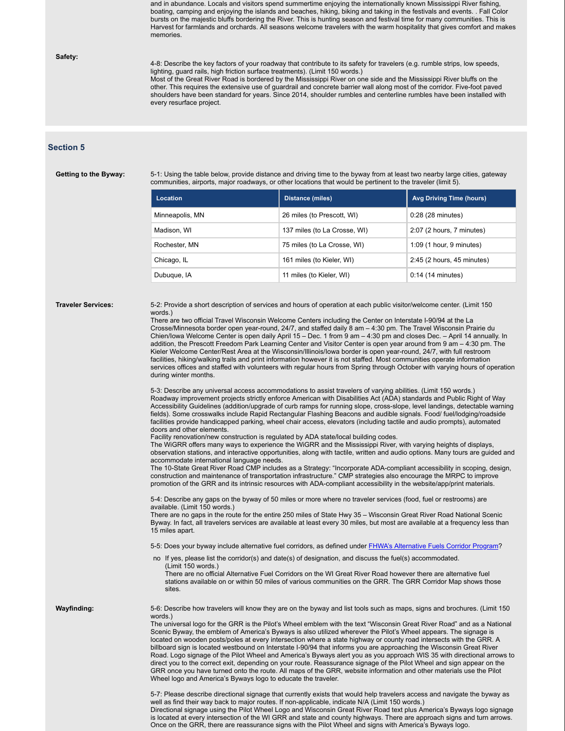and in abundance. Locals and visitors spend summertime enjoying the internationally known Mississippi River fishing, boating, camping and enjoying the islands and beaches, hiking, biking and taking in the festivals and events. . Fall Color bursts on the majestic bluffs bordering the River. This is hunting season and festival time for many communities. This is Harvest for farmlands and orchards. All seasons welcome travelers with the warm hospitality that gives comfort and makes memories.

### **Safety:**

4-8: Describe the key factors of your roadway that contribute to its safety for travelers (e.g. rumble strips, low speeds, lighting, guard rails, high friction surface treatments). (Limit 150 words.)

Most of the Great River Road is bordered by the Mississippi River on one side and the Mississippi River bluffs on the other. This requires the extensive use of guardrail and concrete barrier wall along most of the corridor. Five-foot paved shoulders have been standard for years. Since 2014, shoulder rumbles and centerline rumbles have been installed with every resurface project.

### **Section 5**

**Getting to the Byway:** 5-1: Using the table below, provide distance and driving time to the byway from at least two nearby large cities, gateway communities, airports, major roadways, or other locations that would be pertinent to the traveler (limit 5).

| Location        | Distance (miles)             | <b>Avg Driving Time (hours)</b> |
|-----------------|------------------------------|---------------------------------|
| Minneapolis, MN | 26 miles (to Prescott, WI)   | 0:28 (28 minutes)               |
| Madison, WI     | 137 miles (to La Crosse, WI) | $2:07$ (2 hours, 7 minutes)     |
| Rochester, MN   | 75 miles (to La Crosse, WI)  | $1:09$ (1 hour, 9 minutes)      |
| Chicago, IL     | 161 miles (to Kieler, WI)    | 2:45 (2 hours, 45 minutes)      |
| Dubuque, IA     | 11 miles (to Kieler, WI)     | $0:14$ (14 minutes)             |

**Traveler Services:** 5-2: Provide a short description of services and hours of operation at each public visitor/welcome center. (Limit 150 words.)

> There are two official Travel Wisconsin Welcome Centers including the Center on Interstate I-90/94 at the La Crosse/Minnesota border open year-round, 24/7, and staffed daily 8 am – 4:30 pm. The Travel Wisconsin Prairie du Chien/Iowa Welcome Center is open daily April 15 – Dec. 1 from 9 am – 4:30 pm and closes Dec. – April 14 annually. In addition, the Prescott Freedom Park Learning Center and Visitor Center is open year around from 9 am – 4:30 pm. The Kieler Welcome Center/Rest Area at the Wisconsin/Illinois/Iowa border is open year-round, 24/7, with full restroom facilities, hiking/walking trails and print information however it is not staffed. Most communities operate information services offices and staffed with volunteers with regular hours from Spring through October with varying hours of operation during winter months.

> 5-3: Describe any universal access accommodations to assist travelers of varying abilities. (Limit 150 words.) Roadway improvement projects strictly enforce American with Disabilities Act (ADA) standards and Public Right of Way Accessibility Guidelines (addition/upgrade of curb ramps for running slope, cross-slope, level landings, detectable warning fields). Some crosswalks include Rapid Rectangular Flashing Beacons and audible signals. Food/ fuel/lodging/roadside facilities provide handicapped parking, wheel chair access, elevators (including tactile and audio prompts), automated doors and other elements.

Facility renovation/new construction is regulated by ADA state/local building codes.

The WiGRR offers many ways to experience the WiGRR and the Mississippi River, with varying heights of displays, observation stations, and interactive opportunities, along with tactile, written and audio options. Many tours are guided and accommodate international language needs.

The 10-State Great River Road CMP includes as a Strategy: "Incorporate ADA-compliant accessibility in scoping, design, construction and maintenance of transportation infrastructure." CMP strategies also encourage the MRPC to improve promotion of the GRR and its intrinsic resources with ADA-compliant accessibility in the website/app/print materials.

5-4: Describe any gaps on the byway of 50 miles or more where no traveler services (food, fuel or restrooms) are available. (Limit 150 words.)

There are no gaps in the route for the entire 250 miles of State Hwy 35 – Wisconsin Great River Road National Scenic Byway. In fact, all travelers services are available at least every 30 miles, but most are available at a frequency less than 15 miles apart.

5-5: Does your byway include alternative fuel corridors, as defined under FHWA's Alternative Fuels Corridor Program?

no If yes, please list the corridor(s) and date(s) of designation, and discuss the fuel(s) accommodated. (Limit 150 words.)

There are no official Alternative Fuel Corridors on the WI Great River Road however there are alternative fuel stations available on or within 50 miles of various communities on the GRR. The GRR Corridor Map shows those sites.

**Wayfinding:** 5-6: Describe how travelers will know they are on the byway and list tools such as maps, signs and brochures. (Limit 150 words.)

> The universal logo for the GRR is the Pilot's Wheel emblem with the text "Wisconsin Great River Road" and as a National Scenic Byway, the emblem of America's Byways is also utilized wherever the Pilot's Wheel appears. The signage is located on wooden posts/poles at every intersection where a state highway or county road intersects with the GRR. A billboard sign is located westbound on Interstate I-90/94 that informs you are approaching the Wisconsin Great River Road. Logo signage of the Pilot Wheel and America's Byways alert you as you approach WIS 35 with directional arrows to direct you to the correct exit, depending on your route. Reassurance signage of the Pilot Wheel and sign appear on the GRR once you have turned onto the route. All maps of the GRR, website information and other materials use the Pilot Wheel logo and America's Byways logo to educate the traveler.

> 5-7: Please describe directional signage that currently exists that would help travelers access and navigate the byway as well as find their way back to major routes. If non-applicable, indicate N/A (Limit 150 words.) Directional signage using the Pilot Wheel Logo and Wisconsin Great River Road text plus America's Byways logo signage is located at every intersection of the WI GRR and state and county highways. There are approach signs and turn arrows. Once on the GRR, there are reassurance signs with the Pilot Wheel and signs with America's Byways logo.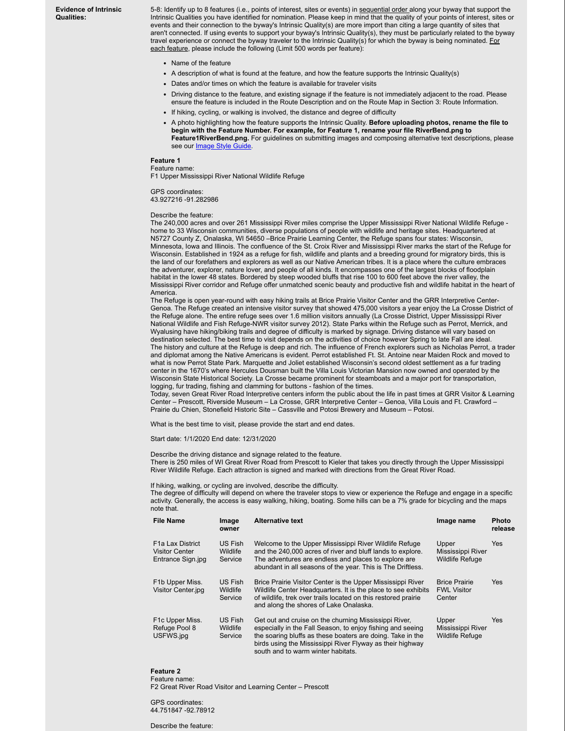**Evidence of Intrinsic Qualities:**

5-8: Identify up to 8 features (i.e., points of interest, sites or events) in sequential order along your byway that support the Intrinsic Qualities you have identified for nomination. Please keep in mind that the quality of your points of interest, sites or events and their connection to the byway's Intrinsic Quality(s) are more import than citing a large quantity of sites that aren't connected. If using events to support your byway's Intrinsic Quality(s), they must be particularly related to the byway travel experience or connect the byway traveler to the Intrinsic Quality(s) for which the byway is being nominated. For each feature, please include the following (Limit 500 words per feature):

- Name of the feature
- A description of what is found at the feature, and how the feature supports the Intrinsic Quality(s)
- Dates and/or times on which the feature is available for traveler visits
- Driving distance to the feature, and existing signage if the feature is not immediately adjacent to the road. Please ensure the feature is included in the Route Description and on the Route Map in Section 3: Route Information.
- If hiking, cycling, or walking is involved, the distance and degree of difficulty
- A photo highlighting how the feature supports the Intrinsic Quality. **Before uploading photos, rename the file to begin with the Feature Number. For example, for Feature 1, rename your file RiverBend.png to Feature1RiverBend.png.** For guidelines on submitting images and composing alternative text descriptions, please see our **Image Style Guide**.

### **Feature 1**

Feature name: F1 Upper Mississippi River National Wildlife Refuge

GPS coordinates: 43.927216 -91.282986

Describe the feature:

The 240,000 acres and over 261 Mississippi River miles comprise the Upper Mississippi River National Wildlife Refuge home to 33 Wisconsin communities, diverse populations of people with wildlife and heritage sites. Headquartered at N5727 County Z, Onalaska, WI 54650 –Brice Prairie Learning Center, the Refuge spans four states: Wisconsin, Minnesota, Iowa and Illinois. The confluence of the St. Croix River and Mississippi River marks the start of the Refuge for Wisconsin. Established in 1924 as a refuge for fish, wildlife and plants and a breeding ground for migratory birds, this is the land of our forefathers and explorers as well as our Native American tribes. It is a place where the culture embraces the adventurer, explorer, nature lover, and people of all kinds. It encompasses one of the largest blocks of floodplain habitat in the lower 48 states. Bordered by steep wooded bluffs that rise 100 to 600 feet above the river valley, the Mississippi River corridor and Refuge offer unmatched scenic beauty and productive fish and wildlife habitat in the heart of America.

The Refuge is open year-round with easy hiking trails at Brice Prairie Visitor Center and the GRR Interpretive Center-Genoa. The Refuge created an intensive visitor survey that showed 475,000 visitors a year enjoy the La Crosse District of the Refuge alone. The entire refuge sees over 1.6 million visitors annually (La Crosse District, Upper Mississippi River National Wildlife and Fish Refuge-NWR visitor survey 2012). State Parks within the Refuge such as Perrot, Merrick, and Wyalusing have hiking/biking trails and degree of difficulty is marked by signage. Driving distance will vary based on destination selected. The best time to visit depends on the activities of choice however Spring to late Fall are ideal. The history and culture at the Refuge is deep and rich. The influence of French explorers such as Nicholas Perrot, a trader and diplomat among the Native Americans is evident. Perrot established Ft. St. Antoine near Maiden Rock and moved to what is now Perrot State Park. Marquette and Joliet established Wisconsin's second oldest settlement as a fur trading center in the 1670's where Hercules Dousman built the Villa Louis Victorian Mansion now owned and operated by the Wisconsin State Historical Society. La Crosse became prominent for steamboats and a major port for transportation, logging, fur trading, fishing and clamming for buttons - fashion of the times.

Today, seven Great River Road Interpretive centers inform the public about the life in past times at GRR Visitor & Learning Center – Prescott, Riverside Museum – La Crosse, GRR Interpretive Center – Genoa, Villa Louis and Ft. Crawford – Prairie du Chien, Stonefield Historic Site – Cassville and Potosi Brewery and Museum – Potosi.

What is the best time to visit, please provide the start and end dates.

Start date: 1/1/2020 End date: 12/31/2020

Describe the driving distance and signage related to the feature.

There is 250 miles of WI Great River Road from Prescott to Kieler that takes you directly through the Upper Mississippi River Wildlife Refuge. Each attraction is signed and marked with directions from the Great River Road.

If hiking, walking, or cycling are involved, describe the difficulty.

The degree of difficulty will depend on where the traveler stops to view or experience the Refuge and engage in a specific activity. Generally, the access is easy walking, hiking, boating. Some hills can be a 7% grade for bicycling and the maps note that.

| File Name                                               | Image<br>owner                        | <b>Alternative text</b>                                                                                                                                                                                                                                                              | Image name                                           | <b>Photo</b><br>release |
|---------------------------------------------------------|---------------------------------------|--------------------------------------------------------------------------------------------------------------------------------------------------------------------------------------------------------------------------------------------------------------------------------------|------------------------------------------------------|-------------------------|
| F1a Lax District<br>Visitor Center<br>Entrance Sign.jpg | US Fish<br><b>Wildlife</b><br>Service | Welcome to the Upper Mississippi River Wildlife Refuge<br>and the 240,000 acres of river and bluff lands to explore.<br>The adventures are endless and places to explore are<br>abundant in all seasons of the year. This is The Driftless.                                          | Upper<br>Mississippi River<br><b>Wildlife Refuge</b> | <b>Yes</b>              |
| F1b Upper Miss.<br>Visitor Center.jpg                   | US Fish<br><b>Wildlife</b><br>Service | Brice Prairie Visitor Center is the Upper Mississippi River<br>Wildlife Center Headquarters. It is the place to see exhibits<br>of wildlife, trek over trails located on this restored prairie<br>and along the shores of Lake Onalaska.                                             | <b>Brice Prairie</b><br><b>FWL Visitor</b><br>Center | Yes                     |
| F1c Upper Miss.<br>Refuge Pool 8<br>USFWS.jpg           | US Fish<br>Wildlife<br>Service        | Get out and cruise on the churning Mississippi River,<br>especially in the Fall Season, to enjoy fishing and seeing<br>the soaring bluffs as these boaters are doing. Take in the<br>birds using the Mississippi River Flyway as their highway<br>south and to warm winter habitats. | Upper<br>Mississippi River<br><b>Wildlife Refuge</b> | Yes                     |

### **Feature 2**

Feature name: F2 Great River Road Visitor and Learning Center – Prescott

GPS coordinates: 44.751847 -92.78912

Describe the feature: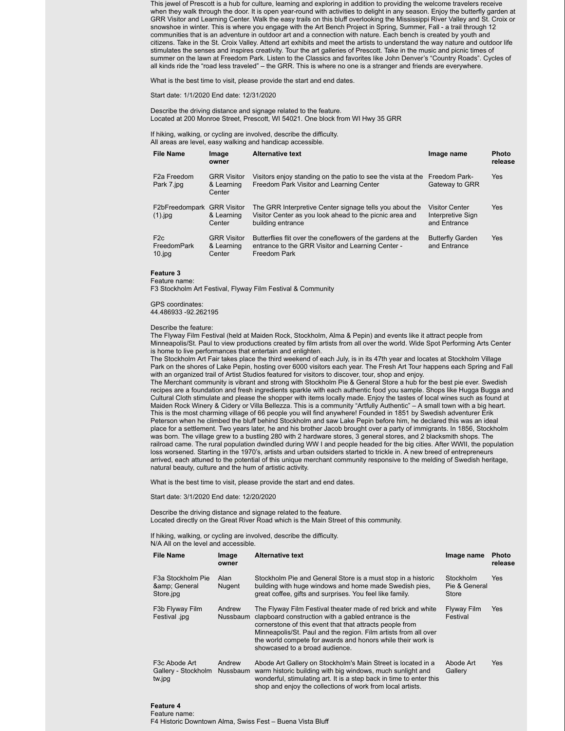This jewel of Prescott is a hub for culture, learning and exploring in addition to providing the welcome travelers receive when they walk through the door. It is open year-round with activities to delight in any season. Enjoy the butterfly garden at GRR Visitor and Learning Center. Walk the easy trails on this bluff overlooking the Mississippi River Valley and St. Croix or snowshoe in winter. This is where you engage with the Art Bench Project in Spring, Summer, Fall - a trail through 12 communities that is an adventure in outdoor art and a connection with nature. Each bench is created by youth and citizens. Take in the St. Croix Valley. Attend art exhibits and meet the artists to understand the way nature and outdoor life stimulates the senses and inspires creativity. Tour the art galleries of Prescott. Take in the music and picnic times of summer on the lawn at Freedom Park. Listen to the Classics and favorites like John Denver's "Country Roads". Cycles of all kinds ride the "road less traveled" – the GRR. This is where no one is a stranger and friends are everywhere.

What is the best time to visit, please provide the start and end dates.

Start date: 1/1/2020 End date: 12/31/2020

Describe the driving distance and signage related to the feature. Located at 200 Monroe Street, Prescott, WI 54021. One block from WI Hwy 35 GRR

If hiking, walking, or cycling are involved, describe the difficulty. All areas are level, easy walking and handicap accessible.

| <b>File Name</b>                            | Image<br>owner                             | <b>Alternative text</b>                                                                                                                 | Image name                                                 | <b>Photo</b><br>release |
|---------------------------------------------|--------------------------------------------|-----------------------------------------------------------------------------------------------------------------------------------------|------------------------------------------------------------|-------------------------|
| F <sub>2</sub> a Freedom<br>Park 7.jpg      | <b>GRR Visitor</b><br>& Learning<br>Center | Visitors enjoy standing on the patio to see the vista at the<br>Freedom Park Visitor and Learning Center                                | <b>Freedom Park-</b><br>Gateway to GRR                     | <b>Yes</b>              |
| F2bFreedompark GRR Visitor<br>$(1)$ .jpg    | & Learning<br>Center                       | The GRR Interpretive Center signage tells you about the<br>Visitor Center as you look ahead to the picnic area and<br>building entrance | <b>Visitor Center</b><br>Interpretive Sign<br>and Entrance | <b>Yes</b>              |
| F <sub>2c</sub><br>FreedomPark<br>$10$ .jpg | <b>GRR Visitor</b><br>& Learning<br>Center | Butterflies flit over the coneflowers of the gardens at the<br>entrance to the GRR Visitor and Learning Center -<br>Freedom Park        | <b>Butterfly Garden</b><br>and Entrance                    | <b>Yes</b>              |

**Feature 3** Feature name:

F3 Stockholm Art Festival, Flyway Film Festival & Community

GPS coordinates:

44.486933 -92.262195

Describe the feature:

The Flyway Film Festival (held at Maiden Rock, Stockholm, Alma & Pepin) and events like it attract people from Minneapolis/St. Paul to view productions created by film artists from all over the world. Wide Spot Performing Arts Center is home to live performances that entertain and enlighten.

The Stockholm Art Fair takes place the third weekend of each July, is in its 47th year and locates at Stockholm Village Park on the shores of Lake Pepin, hosting over 6000 visitors each year. The Fresh Art Tour happens each Spring and Fall with an organized trail of Artist Studios featured for visitors to discover, tour, shop and enjoy.

The Merchant community is vibrant and strong with Stockholm Pie & General Store a hub for the best pie ever. Swedish recipes are a foundation and fresh ingredients sparkle with each authentic food you sample. Shops like Hugga Bugga and Cultural Cloth stimulate and please the shopper with items locally made. Enjoy the tastes of local wines such as found at Maiden Rock Winery & Cidery or Villa Bellezza. This is a community "Artfully Authentic" – A small town with a big heart. This is the most charming village of 66 people you will find anywhere! Founded in 1851 by Swedish adventurer Erik Peterson when he climbed the bluff behind Stockholm and saw Lake Pepin before him, he declared this was an ideal place for a settlement. Two years later, he and his brother Jacob brought over a party of immigrants. In 1856, Stockholm was born. The village grew to a bustling 280 with 2 hardware stores, 3 general stores, and 2 blacksmith shops. The railroad came. The rural population dwindled during WW I and people headed for the big cities. After WWII, the population loss worsened. Starting in the 1970's, artists and urban outsiders started to trickle in. A new breed of entrepreneurs arrived, each attuned to the potential of this unique merchant community responsive to the melding of Swedish heritage, natural beauty, culture and the hum of artistic activity.

What is the best time to visit, please provide the start and end dates.

Start date: 3/1/2020 End date: 12/20/2020

Describe the driving distance and signage related to the feature. Located directly on the Great River Road which is the Main Street of this community.

If hiking, walking, or cycling are involved, describe the difficulty. N/A All on the level and accessible.

| <b>File Name</b>                                                     | Image<br>owner        | <b>Alternative text</b>                                                                                                                                                                                                                                                                                                                              | Image name                          | <b>Photo</b><br>release |
|----------------------------------------------------------------------|-----------------------|------------------------------------------------------------------------------------------------------------------------------------------------------------------------------------------------------------------------------------------------------------------------------------------------------------------------------------------------------|-------------------------------------|-------------------------|
| F <sub>3</sub> a Stockholm Pie<br>& General<br>Store.jpg             | Alan<br><b>Nugent</b> | Stockholm Pie and General Store is a must stop in a historic<br>building with huge windows and home made Swedish pies.<br>great coffee, gifts and surprises. You feel like family.                                                                                                                                                                   | Stockholm<br>Pie & General<br>Store | <b>Yes</b>              |
| F3b Flyway Film<br>Festival .jpg                                     | Andrew<br>Nussbaum    | The Flyway Film Festival theater made of red brick and white<br>clapboard construction with a gabled entrance is the<br>cornerstone of this event that that attracts people from<br>Minneapolis/St. Paul and the region. Film artists from all over<br>the world compete for awards and honors while their work is<br>showcased to a broad audience. | Flyway Film<br>Festival             | <b>Yes</b>              |
| F <sub>3</sub> c Abode Art<br>Gallery - Stockholm Nussbaum<br>tw.jpg | Andrew                | Abode Art Gallery on Stockholm's Main Street is located in a<br>warm historic building with big windows, much sunlight and<br>wonderful, stimulating art. It is a step back in time to enter this<br>shop and enjoy the collections of work from local artists.                                                                                      | Abode Art<br>Gallery                | <b>Yes</b>              |

**Feature 4**

Feature name:

F4 Historic Downtown Alma, Swiss Fest – Buena Vista Bluff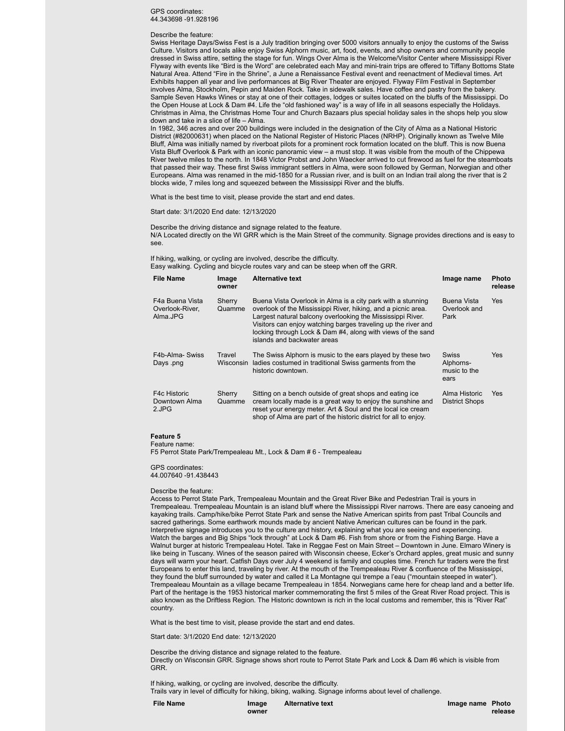### GPS coordinates: 44.343698 -91.928196

#### Describe the feature:

Swiss Heritage Days/Swiss Fest is a July tradition bringing over 5000 visitors annually to enjoy the customs of the Swiss Culture. Visitors and locals alike enjoy Swiss Alphorn music, art, food, events, and shop owners and community people dressed in Swiss attire, setting the stage for fun. Wings Over Alma is the Welcome/Visitor Center where Mississippi River Flyway with events like "Bird is the Word" are celebrated each May and mini-train trips are offered to Tiffany Bottoms State Natural Area. Attend "Fire in the Shrine", a June a Renaissance Festival event and reenactment of Medieval times. Art Exhibits happen all year and live performances at Big River Theater are enjoyed. Flyway Film Festival in September involves Alma, Stockholm, Pepin and Maiden Rock. Take in sidewalk sales. Have coffee and pastry from the bakery. Sample Seven Hawks Wines or stay at one of their cottages, lodges or suites located on the bluffs of the Mississippi. Do the Open House at Lock & Dam #4. Life the "old fashioned way" is a way of life in all seasons especially the Holidays. Christmas in Alma, the Christmas Home Tour and Church Bazaars plus special holiday sales in the shops help you slow down and take in a slice of life – Alma.

In 1982, 346 acres and over 200 buildings were included in the designation of the City of Alma as a National Historic District (#82000631) when placed on the National Register of Historic Places (NRHP). Originally known as Twelve Mile Bluff, Alma was initially named by riverboat pilots for a prominent rock formation located on the bluff. This is now Buena Vista Bluff Overlook & Park with an iconic panoramic view – a must stop. It was visible from the mouth of the Chippewa River twelve miles to the north. In 1848 Victor Probst and John Waecker arrived to cut firewood as fuel for the steamboats that passed their way. These first Swiss immigrant settlers in Alma, were soon followed by German, Norwegian and other Europeans. Alma was renamed in the mid-1850 for a Russian river, and is built on an Indian trail along the river that is 2 blocks wide, 7 miles long and squeezed between the Mississippi River and the bluffs.

What is the best time to visit, please provide the start and end dates.

Start date: 3/1/2020 End date: 12/13/2020

Describe the driving distance and signage related to the feature. N/A Located directly on the WI GRR which is the Main Street of the community. Signage provides directions and is easy to see.

If hiking, walking, or cycling are involved, describe the difficulty.

Easy walking. Cycling and bicycle routes vary and can be steep when off the GRR.

| <b>File Name</b>                               | Image<br>owner      | <b>Alternative text</b>                                                                                                                                                                                                                                                                                                                                   | Image name                                 | <b>Photo</b><br>release |
|------------------------------------------------|---------------------|-----------------------------------------------------------------------------------------------------------------------------------------------------------------------------------------------------------------------------------------------------------------------------------------------------------------------------------------------------------|--------------------------------------------|-------------------------|
| F4a Buena Vista<br>Overlook-River.<br>Alma.JPG | Sherry<br>Quamme    | Buena Vista Overlook in Alma is a city park with a stunning<br>overlook of the Mississippi River, hiking, and a picnic area.<br>Largest natural balcony overlooking the Mississippi River.<br>Visitors can enjoy watching barges traveling up the river and<br>locking through Lock & Dam #4, along with views of the sand<br>islands and backwater areas | Buena Vista<br>Overlook and<br>Park        | <b>Yes</b>              |
| F4b-Alma- Swiss<br>Days .png                   | Travel<br>Wisconsin | The Swiss Alphorn is music to the ears played by these two<br>ladies costumed in traditional Swiss garments from the<br>historic downtown.                                                                                                                                                                                                                | Swiss<br>Alphorns-<br>music to the<br>ears | <b>Yes</b>              |
| F4c Historic<br>Downtown Alma<br>2.JPG         | Sherry<br>Quamme    | Sitting on a bench outside of great shops and eating ice<br>cream locally made is a great way to enjoy the sunshine and<br>reset your energy meter. Art & Soul and the local ice cream<br>shop of Alma are part of the historic district for all to enjoy.                                                                                                | Alma Historic<br>District Shops            | <b>Yes</b>              |

**Feature 5**

Feature name:

F5 Perrot State Park/Trempealeau Mt., Lock & Dam # 6 - Trempealeau

GPS coordinates: 44.007640 -91.438443

#### Describe the feature:

Access to Perrot State Park, Trempealeau Mountain and the Great River Bike and Pedestrian Trail is yours in Trempealeau. Trempealeau Mountain is an island bluff where the Mississippi River narrows. There are easy canoeing and kayaking trails. Camp/hike/bike Perrot State Park and sense the Native American spirits from past Tribal Councils and sacred gatherings. Some earthwork mounds made by ancient Native American cultures can be found in the park. Interpretive signage introduces you to the culture and history, explaining what you are seeing and experiencing. Watch the barges and Big Ships "lock through" at Lock & Dam #6. Fish from shore or from the Fishing Barge. Have a Walnut burger at historic Trempealeau Hotel. Take in Reggae Fest on Main Street – Downtown in June. Elmaro Winery is like being in Tuscany. Wines of the season paired with Wisconsin cheese, Ecker's Orchard apples, great music and sunny days will warm your heart. Catfish Days over July 4 weekend is family and couples time. French fur traders were the first Europeans to enter this land, traveling by river. At the mouth of the Trempealeau River & confluence of the Mississippi, they found the bluff surrounded by water and called it La Montagne qui trempe a l'eau ("mountain steeped in water"). Trempealeau Mountain as a village became Trempealeau in 1854. Norwegians came here for cheap land and a better life. Part of the heritage is the 1953 historical marker commemorating the first 5 miles of the Great River Road project. This is also known as the Driftless Region. The Historic downtown is rich in the local customs and remember, this is "River Rat" country.

What is the best time to visit, please provide the start and end dates.

Start date: 3/1/2020 End date: 12/13/2020

Describe the driving distance and signage related to the feature. Directly on Wisconsin GRR. Signage shows short route to Perrot State Park and Lock & Dam #6 which is visible from GRR.

If hiking, walking, or cycling are involved, describe the difficulty. Trails vary in level of difficulty for hiking, biking, walking. Signage informs about level of challenge.

**owner**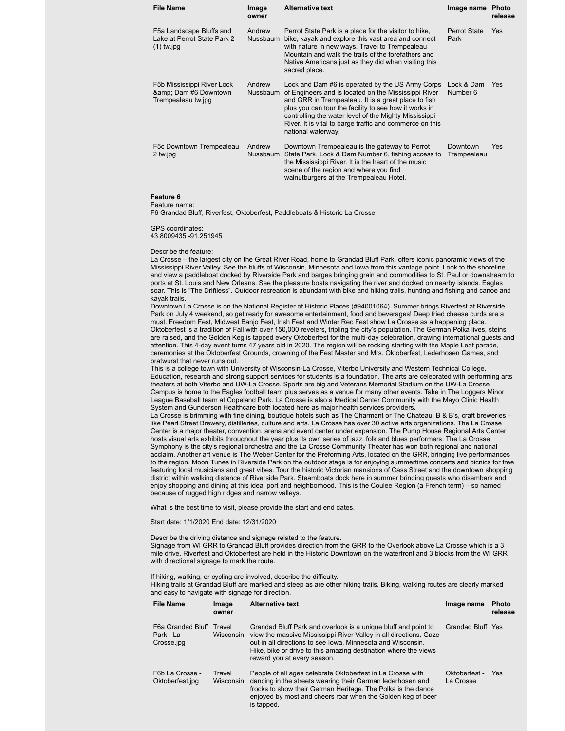| File Name                                                               | Image<br>owner     | <b>Alternative text</b>                                                                                                                                                                                                                                                                                                                                             | Image name                  | Photo<br>release |
|-------------------------------------------------------------------------|--------------------|---------------------------------------------------------------------------------------------------------------------------------------------------------------------------------------------------------------------------------------------------------------------------------------------------------------------------------------------------------------------|-----------------------------|------------------|
| F5a Landscape Bluffs and<br>Lake at Perrot State Park 2<br>$(1)$ tw.jpg | Andrew<br>Nussbaum | Perrot State Park is a place for the visitor to hike.<br>bike, kayak and explore this vast area and connect<br>with nature in new ways. Travel to Trempealeau<br>Mountain and walk the trails of the forefathers and<br>Native Americans just as they did when visiting this<br>sacred place.                                                                       | <b>Perrot State</b><br>Park | Yes              |
| F5b Mississippi River Lock<br>& Dam #6 Downtown<br>Trempealeau tw.jpg   | Andrew<br>Nussbaum | Lock and Dam #6 is operated by the US Army Corps<br>of Engineers and is located on the Mississippi River<br>and GRR in Trempealeau. It is a great place to fish<br>plus you can tour the facility to see how it works in<br>controlling the water level of the Mighty Mississippi<br>River. It is vital to barge traffic and commerce on this<br>national waterway. | Lock & Dam<br>Number 6      | <b>Yes</b>       |
| F5c Downtown Trempealeau<br>2 tw.jpg                                    | Andrew<br>Nussbaum | Downtown Trempealeau is the gateway to Perrot<br>State Park, Lock & Dam Number 6, fishing access to<br>the Mississippi River. It is the heart of the music<br>scene of the region and where you find<br>walnutburgers at the Trempealeau Hotel.                                                                                                                     | Downtown<br>Trempealeau     | Yes              |

**Feature 6**

Feature name:

F6 Grandad Bluff, Riverfest, Oktoberfest, Paddleboats & Historic La Crosse

GPS coordinates: 43.8009435 -91.251945

#### Describe the feature:

La Crosse – the largest city on the Great River Road, home to Grandad Bluff Park, offers iconic panoramic views of the Mississippi River Valley. See the bluffs of Wisconsin, Minnesota and Iowa from this vantage point. Look to the shoreline and view a paddleboat docked by Riverside Park and barges bringing grain and commodities to St. Paul or downstream to ports at St. Louis and New Orleans. See the pleasure boats navigating the river and docked on nearby islands. Eagles soar. This is "The Driftless". Outdoor recreation is abundant with bike and hiking trails, hunting and fishing and canoe and kayak trails.

Downtown La Crosse is on the National Register of Historic Places (#94001064). Summer brings Riverfest at Riverside Park on July 4 weekend, so get ready for awesome entertainment, food and beverages! Deep fried cheese curds are a must. Freedom Fest, Midwest Banjo Fest, Irish Fest and Winter Rec Fest show La Crosse as a happening place. Oktoberfest is a tradition of Fall with over 150,000 revelers, tripling the city's population. The German Polka lives, steins are raised, and the Golden Keg is tapped every Oktoberfest for the multi-day celebration, drawing international guests and attention. This 4-day event turns 47 years old in 2020. The region will be rocking starting with the Maple Leaf parade, ceremonies at the Oktoberfest Grounds, crowning of the Fest Master and Mrs. Oktoberfest, Lederhosen Games, and bratwurst that never runs out.

This is a college town with University of Wisconsin-La Crosse, Viterbo University and Western Technical College. Education, research and strong support services for students is a foundation. The arts are celebrated with performing arts theaters at both Viterbo and UW-La Crosse. Sports are big and Veterans Memorial Stadium on the UW-La Crosse Campus is home to the Eagles football team plus serves as a venue for many other events. Take in The Loggers Minor League Baseball team at Copeland Park. La Crosse is also a Medical Center Community with the Mayo Clinic Health System and Gunderson Healthcare both located here as major health services providers.

La Crosse is brimming with fine dining, boutique hotels such as The Charmant or The Chateau, B & B's, craft breweries – like Pearl Street Brewery, distilleries, culture and arts. La Crosse has over 30 active arts organizations. The La Crosse Center is a major theater, convention, arena and event center under expansion. The Pump House Regional Arts Center hosts visual arts exhibits throughout the year plus its own series of jazz, folk and blues performers. The La Crosse Symphony is the city's regional orchestra and the La Crosse Community Theater has won both regional and national acclaim. Another art venue is The Weber Center for the Preforming Arts, located on the GRR, bringing live performances to the region. Moon Tunes in Riverside Park on the outdoor stage is for enjoying summertime concerts and picnics for free featuring local musicians and great vibes. Tour the historic Victorian mansions of Cass Street and the downtown shopping district within walking distance of Riverside Park. Steamboats dock here in summer bringing guests who disembark and enjoy shopping and dining at this ideal port and neighborhood. This is the Coulee Region (a French term) – so named because of rugged high ridges and narrow valleys.

What is the best time to visit, please provide the start and end dates.

### Start date: 1/1/2020 End date: 12/31/2020

Describe the driving distance and signage related to the feature. Signage from WI GRR to Grandad Bluff provides direction from the GRR to the Overlook above La Crosse which is a 3 mile drive. Riverfest and Oktoberfest are held in the Historic Downtown on the waterfront and 3 blocks from the WI GRR with directional signage to mark the route.

If hiking, walking, or cycling are involved, describe the difficulty.

Hiking trails at Grandad Bluff are marked and steep as are other hiking trails. Biking, walking routes are clearly marked and easy to navigate with signage for direction.

| <b>File Name</b>                             | Image<br>owner      | <b>Alternative text</b>                                                                                                                                                                                                                                                                              | Image name                 | <b>Photo</b><br>release |
|----------------------------------------------|---------------------|------------------------------------------------------------------------------------------------------------------------------------------------------------------------------------------------------------------------------------------------------------------------------------------------------|----------------------------|-------------------------|
| F6a Grandad Bluff<br>Park - La<br>Crosse.jpg | Travel<br>Wisconsin | Grandad Bluff Park and overlook is a unique bluff and point to<br>view the massive Mississippi River Valley in all directions. Gaze<br>out in all directions to see Iowa, Minnesota and Wisconsin.<br>Hike, bike or drive to this amazing destination where the views<br>reward you at every season. | Grandad Bluff Yes          |                         |
| F6b La Crosse -<br>Oktoberfest.jpg           | Travel<br>Wisconsin | People of all ages celebrate Oktoberfest in La Crosse with<br>dancing in the streets wearing their German lederhosen and<br>frocks to show their German Heritage. The Polka is the dance<br>enjoyed by most and cheers roar when the Golden keg of beer<br>is tapped.                                | Oktoberfest -<br>La Crosse | Yes                     |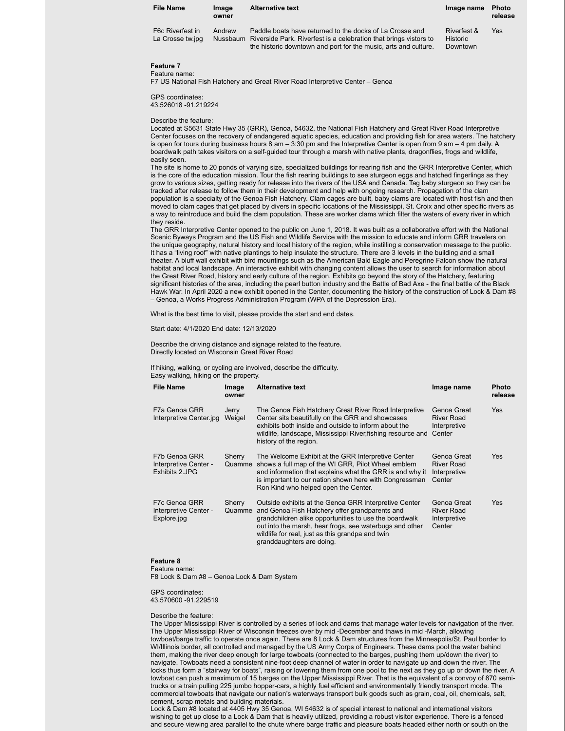| <b>File Name</b>                     | Image<br>owner | <b>Alternative text</b>                                                                                                                                                                                   | Image name                          | Photo<br>release |
|--------------------------------------|----------------|-----------------------------------------------------------------------------------------------------------------------------------------------------------------------------------------------------------|-------------------------------------|------------------|
| F6c Riverfest in<br>La Crosse tw.jpg | Andrew         | Paddle boats have returned to the docks of La Crosse and<br>Nussbaum Riverside Park. Riverfest is a celebration that brings vistors to<br>the historic downtown and port for the music, arts and culture. | Riverfest &<br>Historic<br>Downtown | Yes              |

### **Feature 7** Feature name:

F7 US National Fish Hatchery and Great River Road Interpretive Center – Genoa

GPS coordinates: 43.526018 -91.219224

### Describe the feature:

Located at S5631 State Hwy 35 (GRR), Genoa, 54632, the National Fish Hatchery and Great River Road Interpretive Center focuses on the recovery of endangered aquatic species, education and providing fish for area waters. The hatchery is open for tours during business hours 8 am – 3:30 pm and the Interpretive Center is open from 9 am – 4 pm daily. A boardwalk path takes visitors on a self-guided tour through a marsh with native plants, dragonflies, frogs and wildlife, easily seen.

The site is home to 20 ponds of varying size, specialized buildings for rearing fish and the GRR Interpretive Center, which is the core of the education mission. Tour the fish rearing buildings to see sturgeon eggs and hatched fingerlings as they grow to various sizes, getting ready for release into the rivers of the USA and Canada. Tag baby sturgeon so they can be tracked after release to follow them in their development and help with ongoing research. Propagation of the clam population is a specialty of the Genoa Fish Hatchery. Clam cages are built, baby clams are located with host fish and then moved to clam cages that get placed by divers in specific locations of the Mississippi, St. Croix and other specific rivers as a way to reintroduce and build the clam population. These are worker clams which filter the waters of every river in which they reside.

The GRR Interpretive Center opened to the public on June 1, 2018. It was built as a collaborative effort with the National Scenic Byways Program and the US Fish and Wildlife Service with the mission to educate and inform GRR travelers on the unique geography, natural history and local history of the region, while instilling a conservation message to the public. It has a "living roof" with native plantings to help insulate the structure. There are 3 levels in the building and a small theater. A bluff wall exhibit with bird mountings such as the American Bald Eagle and Peregrine Falcon show the natural habitat and local landscape. An interactive exhibit with changing content allows the user to search for information about the Great River Road, history and early culture of the region. Exhibits go beyond the story of the Hatchery, featuring significant histories of the area, including the pearl button industry and the Battle of Bad Axe - the final battle of the Black Hawk War. In April 2020 a new exhibit opened in the Center, documenting the history of the construction of Lock & Dam #8 – Genoa, a Works Progress Administration Program (WPA of the Depression Era).

What is the best time to visit, please provide the start and end dates.

Start date: 4/1/2020 End date: 12/13/2020

Describe the driving distance and signage related to the feature. Directly located on Wisconsin Great River Road

If hiking, walking, or cycling are involved, describe the difficulty. Easy walking, hiking on the property.

| <b>File Name</b>                                         | Image<br>owner   | <b>Alternative text</b>                                                                                                                                                                                                                                                                                       | Image name                                                 | <b>Photo</b><br>release |
|----------------------------------------------------------|------------------|---------------------------------------------------------------------------------------------------------------------------------------------------------------------------------------------------------------------------------------------------------------------------------------------------------------|------------------------------------------------------------|-------------------------|
| F7a Genoa GRR<br>Interpretive Center.jpg                 | Jerry<br>Weigel  | The Genoa Fish Hatchery Great River Road Interpretive<br>Center sits beautifully on the GRR and showcases<br>exhibits both inside and outside to inform about the<br>wildlife, landscape, Mississippi River, fishing resource and<br>history of the region.                                                   | Genoa Great<br><b>River Road</b><br>Interpretive<br>Center | Yes                     |
| F7b Genoa GRR<br>Interpretive Center -<br>Exhibits 2.JPG | Sherry<br>Quamme | The Welcome Exhibit at the GRR Interpretive Center<br>shows a full map of the WI GRR, Pilot Wheel emblem<br>and information that explains what the GRR is and why it<br>is important to our nation shown here with Congressman<br>Ron Kind who helped open the Center.                                        | Genoa Great<br>River Road<br>Interpretive<br>Center        | <b>Yes</b>              |
| F7c Genoa GRR<br>Interpretive Center -<br>Explore.jpg    | Sherry<br>Quamme | Outside exhibits at the Genoa GRR Interpretive Center<br>and Genoa Fish Hatchery offer grandparents and<br>grandchildren alike opportunities to use the boardwalk<br>out into the marsh, hear frogs, see waterbugs and other<br>wildlife for real, just as this grandpa and twin<br>granddaughters are doing. | Genoa Great<br><b>River Road</b><br>Interpretive<br>Center | Yes                     |

### **Feature 8**

Feature name:

F8 Lock & Dam #8 – Genoa Lock & Dam System

GPS coordinates: 43.570600 -91.229519

### Describe the feature:

The Upper Mississippi River is controlled by a series of lock and dams that manage water levels for navigation of the river. The Upper Mississippi River of Wisconsin freezes over by mid -December and thaws in mid -March, allowing towboat/barge traffic to operate once again. There are 8 Lock & Dam structures from the Minneapolis/St. Paul border to WI/Illinois border, all controlled and managed by the US Army Corps of Engineers. These dams pool the water behind them, making the river deep enough for large towboats (connected to the barges, pushing them up/down the river) to navigate. Towboats need a consistent nine-foot deep channel of water in order to navigate up and down the river. The locks thus form a "stairway for boats", raising or lowering them from one pool to the next as they go up or down the river. A towboat can push a maximum of 15 barges on the Upper Mississippi River. That is the equivalent of a convoy of 870 semitrucks or a train pulling 225 jumbo hopper-cars, a highly fuel efficient and environmentally friendly transport mode. The commercial towboats that navigate our nation's waterways transport bulk goods such as grain, coal, oil, chemicals, salt, cement, scrap metals and building materials.

Lock & Dam #8 located at 4405 Hwy 35 Genoa, WI 54632 is of special interest to national and international visitors wishing to get up close to a Lock & Dam that is heavily utilized, providing a robust visitor experience. There is a fenced and secure viewing area parallel to the chute where barge traffic and pleasure boats headed either north or south on the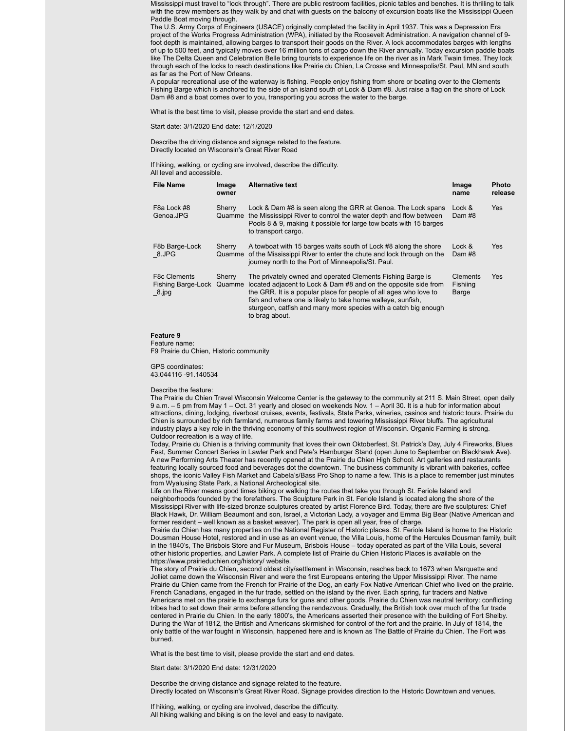Mississippi must travel to "lock through". There are public restroom facilities, picnic tables and benches. It is thrilling to talk with the crew members as they walk by and chat with guests on the balcony of excursion boats like the Mississippi Queen Paddle Boat moving through.

The U.S. Army Corps of Engineers (USACE) originally completed the facility in April 1937. This was a Depression Era project of the Works Progress Administration (WPA), initiated by the Roosevelt Administration. A navigation channel of 9 foot depth is maintained, allowing barges to transport their goods on the River. A lock accommodates barges with lengths of up to 500 feet, and typically moves over 16 million tons of cargo down the River annually. Today excursion paddle boats like The Delta Queen and Celebration Belle bring tourists to experience life on the river as in Mark Twain times. They lock through each of the locks to reach destinations like Prairie du Chien, La Crosse and Minneapolis/St. Paul, MN and south as far as the Port of New Orleans.

A popular recreational use of the waterway is fishing. People enjoy fishing from shore or boating over to the Clements Fishing Barge which is anchored to the side of an island south of Lock & Dam #8. Just raise a flag on the shore of Lock Dam #8 and a boat comes over to you, transporting you across the water to the barge.

What is the best time to visit, please provide the start and end dates.

Start date: 3/1/2020 End date: 12/1/2020

Describe the driving distance and signage related to the feature. Directly located on Wisconsin's Great River Road

If hiking, walking, or cycling are involved, describe the difficulty. All level and accessible.

| <b>File Name</b>                                               | Image<br>owner   | <b>Alternative text</b>                                                                                                                                                                                                                                                                                                                                | Image<br>name                 | <b>Photo</b><br>release |
|----------------------------------------------------------------|------------------|--------------------------------------------------------------------------------------------------------------------------------------------------------------------------------------------------------------------------------------------------------------------------------------------------------------------------------------------------------|-------------------------------|-------------------------|
| F8a Lock #8<br>Genoa.JPG                                       | Sherry<br>Quamme | Lock & Dam #8 is seen along the GRR at Genoa. The Lock spans<br>the Mississippi River to control the water depth and flow between<br>Pools 8 & 9, making it possible for large tow boats with 15 barges<br>to transport cargo.                                                                                                                         | Lock &<br>Dam #8              | <b>Yes</b>              |
| F8b Barge-Lock<br>8.JPG                                        | Sherry<br>Quamme | A towboat with 15 barges waits south of Lock #8 along the shore<br>of the Mississippi River to enter the chute and lock through on the<br>journey north to the Port of Minneapolis/St. Paul.                                                                                                                                                           | Lock &<br>Dam #8              | <b>Yes</b>              |
| <b>F8c Clements</b><br>Fishing Barge-Lock Quamme<br>$-8$ . jpg | Sherry           | The privately owned and operated Clements Fishing Barge is<br>located adjacent to Lock & Dam #8 and on the opposite side from<br>the GRR. It is a popular place for people of all ages who love to<br>fish and where one is likely to take home walleye, sunfish,<br>sturgeon, catfish and many more species with a catch big enough<br>to brag about. | Clements<br>Fishiing<br>Barge | Yes                     |

### **Feature 9**

Feature name: F9 Prairie du Chien, Historic community

GPS coordinates: 43.044116 -91.140534

### Describe the feature:

The Prairie du Chien Travel Wisconsin Welcome Center is the gateway to the community at 211 S. Main Street, open daily 9 a.m. – 5 pm from May 1 – Oct. 31 yearly and closed on weekends Nov. 1 – April 30. It is a hub for information about attractions, dining, lodging, riverboat cruises, events, festivals, State Parks, wineries, casinos and historic tours. Prairie du Chien is surrounded by rich farmland, numerous family farms and towering Mississippi River bluffs. The agricultural industry plays a key role in the thriving economy of this southwest region of Wisconsin. Organic Farming is strong. Outdoor recreation is a way of life.

Today, Prairie du Chien is a thriving community that loves their own Oktoberfest, St. Patrick's Day, July 4 Fireworks, Blues Fest, Summer Concert Series in Lawler Park and Pete's Hamburger Stand (open June to September on Blackhawk Ave). A new Performing Arts Theater has recently opened at the Prairie du Chien High School. Art galleries and restaurants featuring locally sourced food and beverages dot the downtown. The business community is vibrant with bakeries, coffee shops, the iconic Valley Fish Market and Cabela's/Bass Pro Shop to name a few. This is a place to remember just minutes from Wyalusing State Park, a National Archeological site.

Life on the River means good times biking or walking the routes that take you through St. Feriole Island and neighborhoods founded by the forefathers. The Sculpture Park in St. Feriole Island is located along the shore of the Mississippi River with life-sized bronze sculptures created by artist Florence Bird. Today, there are five sculptures: Chief Black Hawk, Dr. William Beaumont and son, Israel, a Victorian Lady, a voyager and Emma Big Bear (Native American and former resident – well known as a basket weaver). The park is open all year, free of charge.

Prairie du Chien has many properties on the National Register of Historic places. St. Feriole Island is home to the Historic Dousman House Hotel, restored and in use as an event venue, the Villa Louis, home of the Hercules Dousman family, built in the 1840's, The Brisbois Store and Fur Museum, Brisbois House – today operated as part of the Villa Louis, several other historic properties, and Lawler Park. A complete list of Prairie du Chien Historic Places is available on the https://www.prairieduchien.org/history/ website.

The story of Prairie du Chien, second oldest city/settlement in Wisconsin, reaches back to 1673 when Marquette and Jolliet came down the Wisconsin River and were the first Europeans entering the Upper Mississippi River. The name Prairie du Chien came from the French for Prairie of the Dog, an early Fox Native American Chief who lived on the prairie. French Canadians, engaged in the fur trade, settled on the island by the river. Each spring, fur traders and Native Americans met on the prairie to exchange furs for guns and other goods. Prairie du Chien was neutral territory: conflicting tribes had to set down their arms before attending the rendezvous. Gradually, the British took over much of the fur trade centered in Prairie du Chien. In the early 1800's, the Americans asserted their presence with the building of Fort Shelby. During the War of 1812, the British and Americans skirmished for control of the fort and the prairie. In July of 1814, the only battle of the war fought in Wisconsin, happened here and is known as The Battle of Prairie du Chien. The Fort was burned.

What is the best time to visit, please provide the start and end dates.

Start date: 3/1/2020 End date: 12/31/2020

Describe the driving distance and signage related to the feature. Directly located on Wisconsin's Great River Road. Signage provides direction to the Historic Downtown and venues.

If hiking, walking, or cycling are involved, describe the difficulty. All hiking walking and biking is on the level and easy to navigate.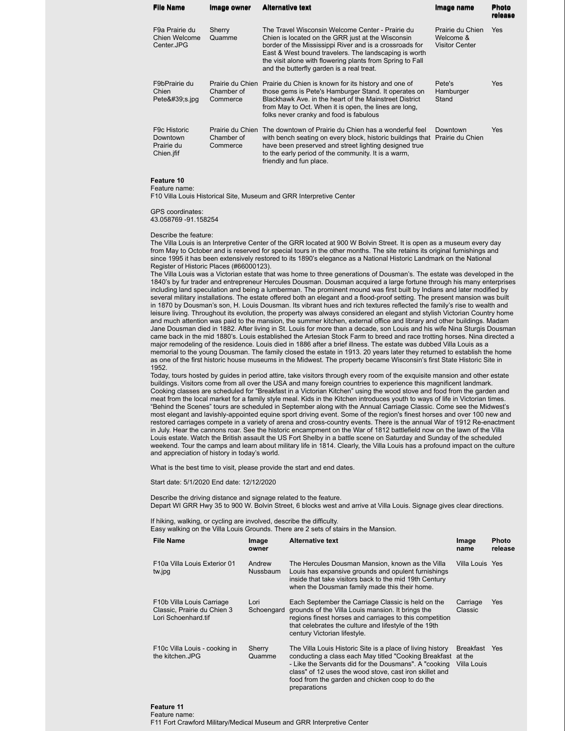| <b>File Name</b>                                                  | Image owner                                | <b>Alternative text</b>                                                                                                                                                                                                                                                                                                             | Image name                                             | <b>Photo</b><br>release |
|-------------------------------------------------------------------|--------------------------------------------|-------------------------------------------------------------------------------------------------------------------------------------------------------------------------------------------------------------------------------------------------------------------------------------------------------------------------------------|--------------------------------------------------------|-------------------------|
| F9a Prairie du<br>Chien Welcome<br>Center.JPG                     | Sherry<br>Quamme                           | The Travel Wisconsin Welcome Center - Prairie du<br>Chien is located on the GRR just at the Wisconsin<br>border of the Mississippi River and is a crossroads for<br>East & West bound travelers. The landscaping is worth<br>the visit alone with flowering plants from Spring to Fall<br>and the butterfly garden is a real treat. | Prairie du Chien<br>Welcome &<br><b>Visitor Center</b> | <b>Yes</b>              |
| F9bPrairie du<br>Chien<br>Pete $&\#39$ ;s.jpg                     | Prairie du Chien<br>Chamber of<br>Commerce | Prairie du Chien is known for its history and one of<br>those gems is Pete's Hamburger Stand. It operates on<br>Blackhawk Ave. in the heart of the Mainstreet District<br>from May to Oct. When it is open, the lines are long,<br>folks never cranky and food is fabulous                                                          | Pete's<br>Hamburger<br>Stand                           | Yes                     |
| F <sub>9</sub> c Historic<br>Downtown<br>Prairie du<br>Chien.jfif | Prairie du Chien<br>Chamber of<br>Commerce | The downtown of Prairie du Chien has a wonderful feel<br>with bench seating on every block, historic buildings that<br>have been preserved and street lighting designed true<br>to the early period of the community. It is a warm,<br>friendly and fun place.                                                                      | Downtown<br>Prairie du Chien                           | <b>Yes</b>              |

#### **Feature 10** Feature name:

F10 Villa Louis Historical Site, Museum and GRR Interpretive Center

GPS coordinates:

43.058769 -91.158254

Describe the feature:

The Villa Louis is an Interpretive Center of the GRR located at 900 W Bolvin Street. It is open as a museum every day from May to October and is reserved for special tours in the other months. The site retains its original furnishings and since 1995 it has been extensively restored to its 1890's elegance as a National Historic Landmark on the National Register of Historic Places (#66000123).

The Villa Louis was a Victorian estate that was home to three generations of Dousman's. The estate was developed in the 1840's by fur trader and entrepreneur Hercules Dousman. Dousman acquired a large fortune through his many enterprises including land speculation and being a lumberman. The prominent mound was first built by Indians and later modified by several military installations. The estate offered both an elegant and a flood-proof setting. The present mansion was built in 1870 by Dousman's son, H. Louis Dousman. Its vibrant hues and rich textures reflected the family's rise to wealth and leisure living. Throughout its evolution, the property was always considered an elegant and stylish Victorian Country home and much attention was paid to the mansion, the summer kitchen, external office and library and other buildings. Madam Jane Dousman died in 1882. After living in St. Louis for more than a decade, son Louis and his wife Nina Sturgis Dousman came back in the mid 1880's. Louis established the Artesian Stock Farm to breed and race trotting horses. Nina directed a major remodeling of the residence. Louis died in 1886 after a brief illness. The estate was dubbed Villa Louis as a memorial to the young Dousman. The family closed the estate in 1913. 20 years later they returned to establish the home as one of the first historic house museums in the Midwest. The property became Wisconsin's first State Historic Site in 1952.

Today, tours hosted by guides in period attire, take visitors through every room of the exquisite mansion and other estate buildings. Visitors come from all over the USA and many foreign countries to experience this magnificent landmark. Cooking classes are scheduled for "Breakfast in a Victorian Kitchen" using the wood stove and food from the garden and meat from the local market for a family style meal. Kids in the Kitchen introduces youth to ways of life in Victorian times. "Behind the Scenes" tours are scheduled in September along with the Annual Carriage Classic. Come see the Midwest's most elegant and lavishly-appointed equine sport driving event. Some of the region's finest horses and over 100 new and restored carriages compete in a variety of arena and cross-country events. There is the annual War of 1912 Re-enactment in July. Hear the cannons roar. See the historic encampment on the War of 1812 battlefield now on the lawn of the Villa Louis estate. Watch the British assault the US Fort Shelby in a battle scene on Saturday and Sunday of the scheduled weekend. Tour the camps and learn about military life in 1814. Clearly, the Villa Louis has a profound impact on the culture and appreciation of history in today's world.

What is the best time to visit, please provide the start and end dates.

Start date: 5/1/2020 End date: 12/12/2020

Describe the driving distance and signage related to the feature. Depart WI GRR Hwy 35 to 900 W. Bolvin Street, 6 blocks west and arrive at Villa Louis. Signage gives clear directions.

If hiking, walking, or cycling are involved, describe the difficulty. Easy walking on the Villa Louis Grounds. There are 2 sets of stairs in the Mansion.

| <b>File Name</b>                                                                | Image<br>owner     | <b>Alternative text</b>                                                                                                                                                                                                                                                                                      | Image<br>name                             | <b>Photo</b><br>release |
|---------------------------------------------------------------------------------|--------------------|--------------------------------------------------------------------------------------------------------------------------------------------------------------------------------------------------------------------------------------------------------------------------------------------------------------|-------------------------------------------|-------------------------|
| F10a Villa Louis Exterior 01<br>tw.jpg                                          | Andrew<br>Nussbaum | The Hercules Dousman Mansion, known as the Villa<br>Louis has expansive grounds and opulent furnishings<br>inside that take visitors back to the mid 19th Century<br>when the Dousman family made this their home.                                                                                           | Villa Louis Yes                           |                         |
| F10b Villa Louis Carriage<br>Classic, Prairie du Chien 3<br>Lori Schoenhard.tif | Lori<br>Schoengard | Each September the Carriage Classic is held on the<br>grounds of the Villa Louis mansion. It brings the<br>regions finest horses and carriages to this competition<br>that celebrates the culture and lifestyle of the 19th<br>century Victorian lifestyle.                                                  | Carriage<br>Classic                       | <b>Yes</b>              |
| F10c Villa Louis - cooking in<br>the kitchen. JPG                               | Sherry<br>Quamme   | The Villa Louis Historic Site is a place of living history<br>conducting a class each May titled "Cooking Breakfast"<br>- Like the Servants did for the Dousmans". A "cooking"<br>class" of 12 uses the wood stove, cast iron skillet and<br>food from the garden and chicken coop to do the<br>preparations | <b>Breakfast</b><br>at the<br>Villa Louis | Yes                     |

**Feature 11** Feature name: F11 Fort Crawford Military/Medical Museum and GRR Interpretive Center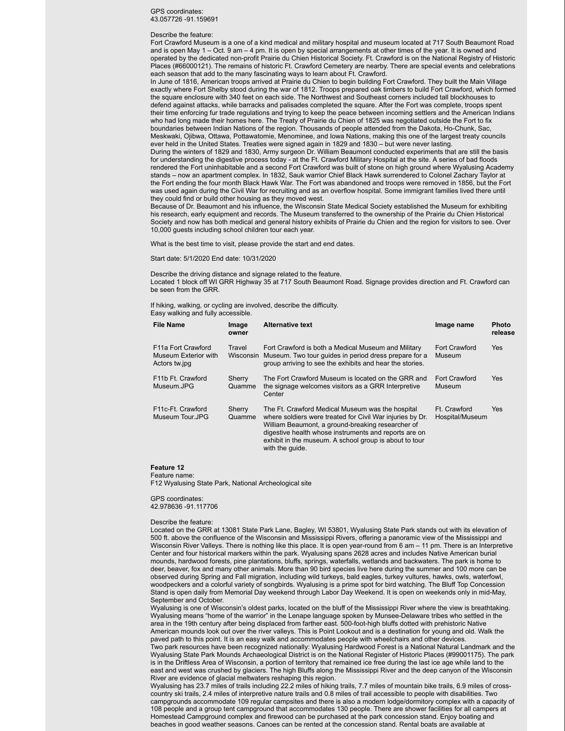### GPS coordinates: 43.057726 -91.159691

#### Describe the feature:

Fort Crawford Museum is a one of a kind medical and military hospital and museum located at 717 South Beaumont Road and is open May 1 – Oct. 9 am – 4 pm. It is open by special arrangements at other times of the year. It is owned and operated by the dedicated non-profit Prairie du Chien Historical Society. Ft. Crawford is on the National Registry of Historic Places (#66000121). The remains of historic Ft. Crawford Cemetery are nearby. There are special events and celebrations each season that add to the many fascinating ways to learn about Ft. Crawford.

In June of 1816, American troops arrived at Prairie du Chien to begin building Fort Crawford. They built the Main Village exactly where Fort Shelby stood during the war of 1812. Troops prepared oak timbers to build Fort Crawford, which formed the square enclosure with 340 feet on each side. The Northwest and Southeast corners included tall blockhouses to defend against attacks, while barracks and palisades completed the square. After the Fort was complete, troops spent their time enforcing fur trade regulations and trying to keep the peace between incoming settlers and the American Indians who had long made their homes here. The Treaty of Prairie du Chien of 1825 was negotiated outside the Fort to fix boundaries between Indian Nations of the region. Thousands of people attended from the Dakota, Ho-Chunk, Sac, Meskwaki, Ojibwa, Ottawa, Pottawatomie, Menominee, and Iowa Nations, making this one of the largest treaty councils ever held in the United States. Treaties were signed again in 1829 and 1830 – but were never lasting. During the winters of 1829 and 1830, Army surgeon Dr. William Beaumont conducted experiments that are still the basis for understanding the digestive process today - at the Ft. Crawford Military Hospital at the site. A series of bad floods rendered the Fort uninhabitable and a second Fort Crawford was built of stone on high ground where Wyalusing Academy stands – now an apartment complex. In 1832, Sauk warrior Chief Black Hawk surrendered to Colonel Zachary Taylor at the Fort ending the four month Black Hawk War. The Fort was abandoned and troops were removed in 1856, but the Fort was used again during the Civil War for recruiting and as an overflow hospital. Some immigrant families lived there until

they could find or build other housing as they moved west. Because of Dr. Beaumont and his influence, the Wisconsin State Medical Society established the Museum for exhibiting his research, early equipment and records. The Museum transferred to the ownership of the Prairie du Chien Historical Society and now has both medical and general history exhibits of Prairie du Chien and the region for visitors to see. Over 10,000 guests including school children tour each year.

What is the best time to visit, please provide the start and end dates.

Start date: 5/1/2020 End date: 10/31/2020

Describe the driving distance and signage related to the feature.

Located 1 block off WI GRR Highway 35 at 717 South Beaumont Road. Signage provides direction and Ft. Crawford can be seen from the GRR.

If hiking, walking, or cycling are involved, describe the difficulty. Easy walking and fully accessible.

| <b>File Name</b>                                                         | Image<br>owner      | <b>Alternative text</b>                                                                                                                                                                                                                                                                                  | Image name                      | <b>Photo</b><br>release |
|--------------------------------------------------------------------------|---------------------|----------------------------------------------------------------------------------------------------------------------------------------------------------------------------------------------------------------------------------------------------------------------------------------------------------|---------------------------------|-------------------------|
| F <sub>11</sub> a Fort Crawford<br>Museum Exterior with<br>Actors tw.jpg | Travel<br>Wisconsin | Fort Crawford is both a Medical Museum and Military<br>Museum. Two tour quides in period dress prepare for a<br>group arriving to see the exhibits and hear the stories.                                                                                                                                 | Fort Crawford<br>Museum         | Yes                     |
| F11b Ft. Crawford<br>Museum.JPG                                          | Sherry<br>Quamme    | The Fort Crawford Museum is located on the GRR and<br>the signage welcomes visitors as a GRR Interpretive<br>Center                                                                                                                                                                                      | Fort Crawford<br>Museum         | Yes                     |
| F <sub>11</sub> c-Ft. Crawford<br>Museum Tour.JPG                        | Sherry<br>Quamme    | The Ft. Crawford Medical Museum was the hospital<br>where soldiers were treated for Civil War injuries by Dr.<br>William Beaumont, a ground-breaking researcher of<br>digestive health whose instruments and reports are on<br>exhibit in the museum. A school group is about to tour<br>with the quide. | Ft. Crawford<br>Hospital/Museum | Yes                     |

### **Feature 12**

Feature name:

F12 Wyalusing State Park, National Archeological site

### GPS coordinates: 42.978636 -91.117706

#### Describe the feature:

Located on the GRR at 13081 State Park Lane, Bagley, WI 53801, Wyalusing State Park stands out with its elevation of 500 ft. above the confluence of the Wisconsin and Mississippi Rivers, offering a panoramic view of the Mississippi and Wisconsin River Valleys. There is nothing like this place. It is open year-round from 6 am – 11 pm. There is an Interpretive Center and four historical markers within the park. Wyalusing spans 2628 acres and includes Native American burial mounds, hardwood forests, pine plantations, bluffs, springs, waterfalls, wetlands and backwaters. The park is home to deer, beaver, fox and many other animals. More than 90 bird species live here during the summer and 100 more can be observed during Spring and Fall migration, including wild turkeys, bald eagles, turkey vultures, hawks, owls, waterfowl, woodpeckers and a colorful variety of songbirds. Wyalusing is a prime spot for bird watching. The Bluff Top Concession Stand is open daily from Memorial Day weekend through Labor Day Weekend. It is open on weekends only in mid-May,

September and October.<br>Wyalusing is one of Wisconsin's oldest parks, located on the bluff of the Mississippi River where the view is breathtaking. Wyalusing means "home of the warrior" in the Lenape language spoken by Munsee-Delaware tribes who settled in the area in the 19th century after being displaced from farther east. 500-foot-high bluffs dotted with prehistoric Native American mounds look out over the river valleys. This is Point Lookout and is a destination for young and old. Walk the paved path to this point. It is an easy walk and accommodates people with wheelchairs and other devices.

Two park resources have been recognized nationally: Wyalusing Hardwood Forest is a National Natural Landmark and the Wyalusing State Park Mounds Archaeological District is on the National Register of Historic Places (#99001175). The park is in the Driftless Area of Wisconsin, a portion of territory that remained ice free during the last ice age while land to the east and west was crushed by glaciers. The high Bluffs along the Mississippi River and the deep canyon of the Wisconsin River are evidence of glacial meltwaters reshaping this region.

Wyalusing has 23.7 miles of trails including 22.2 miles of hiking trails, 7.7 miles of mountain bike trails, 6.9 miles of crosscountry ski trails, 2.4 miles of interpretive nature trails and 0.8 miles of trail accessible to people with disabilities. Two campgrounds accommodate 109 regular campsites and there is also a modern lodge/dormitory complex with a capacity of 108 people and a group tent campground that accommodates 130 people. There are shower facilities for all campers at Homestead Campground complex and firewood can be purchased at the park concession stand. Enjoy boating and beaches in good weather seasons. Canoes can be rented at the concession stand. Rental boats are available at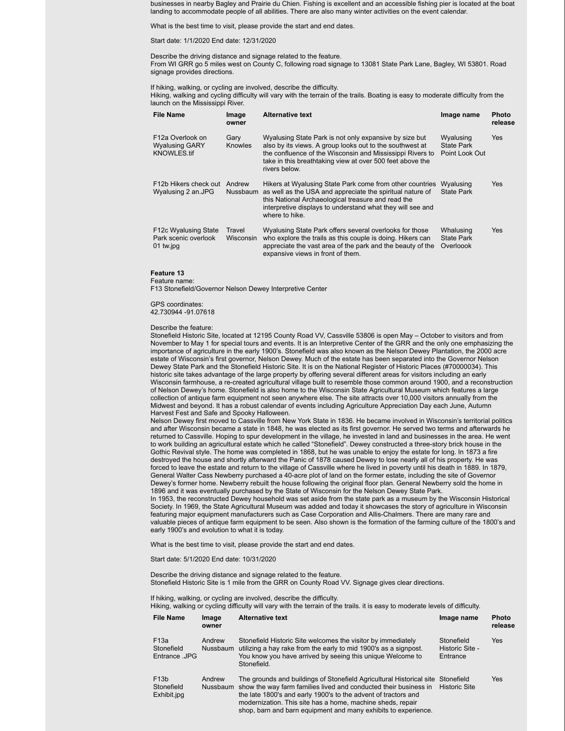businesses in nearby Bagley and Prairie du Chien. Fishing is excellent and an accessible fishing pier is located at the boat landing to accommodate people of all abilities. There are also many winter activities on the event calendar.

What is the best time to visit, please provide the start and end dates.

Start date: 1/1/2020 End date: 12/31/2020

Describe the driving distance and signage related to the feature. From WI GRR go 5 miles west on County C, following road signage to 13081 State Park Lane, Bagley, WI 53801. Road signage provides directions.

If hiking, walking, or cycling are involved, describe the difficulty.

Hiking, walking and cycling difficulty will vary with the terrain of the trails. Boating is easy to moderate difficulty from the launch on the Mississippi River.

| <b>File Name</b>                                                             | Image<br>owner      | <b>Alternative text</b>                                                                                                                                                                                                                                       | Image name                                       | <b>Photo</b><br>release |
|------------------------------------------------------------------------------|---------------------|---------------------------------------------------------------------------------------------------------------------------------------------------------------------------------------------------------------------------------------------------------------|--------------------------------------------------|-------------------------|
| F <sub>12</sub> a Overlook on<br><b>Wyalusing GARY</b><br><b>KNOWLES.tif</b> | Gary<br>Knowles     | Wyalusing State Park is not only expansive by size but<br>also by its views. A group looks out to the southwest at<br>the confluence of the Wisconsin and Mississippi Rivers to<br>take in this breathtaking view at over 500 feet above the<br>rivers below. | Wyalusing<br><b>State Park</b><br>Point Look Out | Yes                     |
| F12b Hikers check out<br>Wyalusing 2 an.JPG                                  | Andrew<br>Nussbaum  | Hikers at Wyalusing State Park come from other countries<br>as well as the USA and appreciate the spiritual nature of<br>this National Archaeological treasure and read the<br>interpretive displays to understand what they will see and<br>where to hike.   | Wyalusing<br><b>State Park</b>                   | <b>Yes</b>              |
| F12c Wyalusing State<br>Park scenic overlook<br>01 tw.jpg                    | Travel<br>Wisconsin | Wyalusing State Park offers several overlooks for those<br>who explore the trails as this couple is doing. Hikers can<br>appreciate the vast area of the park and the beauty of the<br>expansive views in front of them.                                      | Whalusing<br><b>State Park</b><br>Overloook      | <b>Yes</b>              |

### **Feature 13**

Feature name: F13 Stonefield/Governor Nelson Dewey Interpretive Center

GPS coordinates: 42.730944 -91.07618

#### Describe the feature:

Stonefield Historic Site, located at 12195 County Road VV, Cassville 53806 is open May – October to visitors and from November to May 1 for special tours and events. It is an Interpretive Center of the GRR and the only one emphasizing the importance of agriculture in the early 1900's. Stonefield was also known as the Nelson Dewey Plantation, the 2000 acre estate of Wisconsin's first governor, Nelson Dewey. Much of the estate has been separated into the Governor Nelson Dewey State Park and the Stonefield Historic Site. It is on the National Register of Historic Places (#70000034). This historic site takes advantage of the large property by offering several different areas for visitors including an early Wisconsin farmhouse, a re-created agricultural village built to resemble those common around 1900, and a reconstruction of Nelson Dewey's home. Stonefield is also home to the Wisconsin State Agricultural Museum which features a large collection of antique farm equipment not seen anywhere else. The site attracts over 10,000 visitors annually from the Midwest and beyond. It has a robust calendar of events including Agriculture Appreciation Day each June, Autumn Harvest Fest and Safe and Spooky Halloween.

Nelson Dewey first moved to Cassville from New York State in 1836. He became involved in Wisconsin's territorial politics and after Wisconsin became a state in 1848, he was elected as its first governor. He served two terms and afterwards he returned to Cassville. Hoping to spur development in the village, he invested in land and businesses in the area. He went to work building an agricultural estate which he called "Stonefield". Dewey constructed a three-story brick house in the Gothic Revival style. The home was completed in 1868, but he was unable to enjoy the estate for long. In 1873 a fire destroyed the house and shortly afterward the Panic of 1878 caused Dewey to lose nearly all of his property. He was forced to leave the estate and return to the village of Cassville where he lived in poverty until his death in 1889. In 1879, General Walter Cass Newberry purchased a 40-acre plot of land on the former estate, including the site of Governor Dewey's former home. Newberry rebuilt the house following the original floor plan. General Newberry sold the home in 1896 and it was eventually purchased by the State of Wisconsin for the Nelson Dewey State Park.

In 1953, the reconstructed Dewey household was set aside from the state park as a museum by the Wisconsin Historical Society. In 1969, the State Agricultural Museum was added and today it showcases the story of agriculture in Wisconsin featuring major equipment manufacturers such as Case Corporation and Allis-Chalmers. There are many rare and valuable pieces of antique farm equipment to be seen. Also shown is the formation of the farming culture of the 1800's and early 1900's and evolution to what it is today.

What is the best time to visit, please provide the start and end dates.

### Start date: 5/1/2020 End date: 10/31/2020

Describe the driving distance and signage related to the feature. Stonefield Historic Site is 1 mile from the GRR on County Road VV. Signage gives clear directions.

If hiking, walking, or cycling are involved, describe the difficulty.

Hiking, walking or cycling difficulty will vary with the terrain of the trails. it is easy to moderate levels of difficulty.

| <b>File Name</b>                               | Image<br>owner | <b>Alternative text</b>                                                                                                                                                                                                                                                                                                                             | Image name                                | Photo<br>release |
|------------------------------------------------|----------------|-----------------------------------------------------------------------------------------------------------------------------------------------------------------------------------------------------------------------------------------------------------------------------------------------------------------------------------------------------|-------------------------------------------|------------------|
| F <sub>13a</sub><br>Stonefield<br>Entrance JPG | Andrew         | Stonefield Historic Site welcomes the visitor by immediately<br>Nussbaum utilizing a hay rake from the early to mid 1900's as a signpost.<br>You know you have arrived by seeing this unique Welcome to<br>Stonefield.                                                                                                                              | Stonefield<br>Historic Site -<br>Entrance | Yes              |
| F <sub>13</sub> b<br>Stonefield<br>Exhibit.jpg | Andrew         | The grounds and buildings of Stonefield Agricultural Historical site<br>Nussbaum show the way farm families lived and conducted their business in<br>the late 1800's and early 1900's to the advent of tractors and<br>modernization. This site has a home, machine sheds, repair<br>shop, barn and barn equipment and many exhibits to experience. | Stonefield<br><b>Historic Site</b>        | <b>Yes</b>       |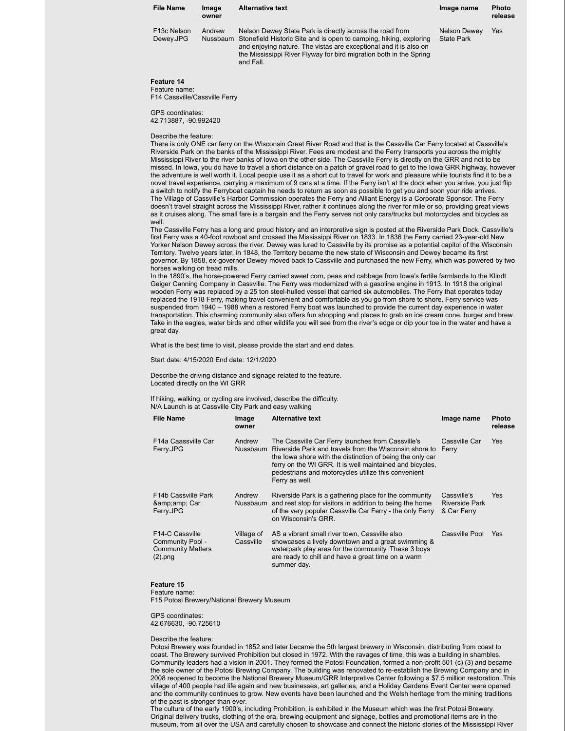| <b>File Name</b>                      | Image<br>owner | <b>Alternative text</b>                                                                                                                                                                                                                                                                         | Image name                               | <b>Photo</b><br>release |
|---------------------------------------|----------------|-------------------------------------------------------------------------------------------------------------------------------------------------------------------------------------------------------------------------------------------------------------------------------------------------|------------------------------------------|-------------------------|
| F <sub>13</sub> c Nelson<br>Dewey.JPG | Andrew         | Nelson Dewey State Park is directly across the road from<br>Nussbaum Stonefield Historic Site and is open to camping, hiking, exploring<br>and enjoying nature. The vistas are exceptional and it is also on<br>the Mississippi River Flyway for bird migration both in the Spring<br>and Fall. | <b>Nelson Dewey</b><br><b>State Park</b> | Yes                     |

### **Feature 14**

Feature name: F14 Cassville/Cassville Ferry

GPS coordinates: 42.713887, -90.992420

#### Describe the feature:

There is only ONE car ferry on the Wisconsin Great River Road and that is the Cassville Car Ferry located at Cassville's Riverside Park on the banks of the Mississippi River. Fees are modest and the Ferry transports you across the mighty Mississippi River to the river banks of Iowa on the other side. The Cassville Ferry is directly on the GRR and not to be missed. In Iowa, you do have to travel a short distance on a patch of gravel road to get to the Iowa GRR highway, however the adventure is well worth it. Local people use it as a short cut to travel for work and pleasure while tourists find it to be a novel travel experience, carrying a maximum of 9 cars at a time. If the Ferry isn't at the dock when you arrive, you just flip a switch to notify the Ferryboat captain he needs to return as soon as possible to get you and soon your ride arrives. The Village of Cassville's Harbor Commission operates the Ferry and Alliant Energy is a Corporate Sponsor. The Ferry doesn't travel straight across the Mississippi River, rather it continues along the river for mile or so, providing great views as it cruises along. The small fare is a bargain and the Ferry serves not only cars/trucks but motorcycles and bicycles as well.

The Cassville Ferry has a long and proud history and an interpretive sign is posted at the Riverside Park Dock. Cassville's first Ferry was a 40-foot rowboat and crossed the Mississippi River on 1833. In 1836 the Ferry carried 23-year-old New Yorker Nelson Dewey across the river. Dewey was lured to Cassville by its promise as a potential capitol of the Wisconsin Territory. Twelve years later, in 1848, the Territory became the new state of Wisconsin and Dewey became its first governor. By 1858, ex-governor Dewey moved back to Cassville and purchased the new Ferry, which was powered by two horses walking on tread mills.

In the 1890's, the horse-powered Ferry carried sweet corn, peas and cabbage from Iowa's fertile farmlands to the Klindt Geiger Canning Company in Cassville. The Ferry was modernized with a gasoline engine in 1913. In 1918 the original wooden Ferry was replaced by a 25 ton steel-hulled vessel that carried six automobiles. The Ferry that operates today replaced the 1918 Ferry, making travel convenient and comfortable as you go from shore to shore. Ferry service was suspended from 1940 – 1988 when a restored Ferry boat was launched to provide the current day experience in water transportation. This charming community also offers fun shopping and places to grab an ice cream cone, burger and brew. Take in the eagles, water birds and other wildlife you will see from the river's edge or dip your toe in the water and have a great day.

What is the best time to visit, please provide the start and end dates.

### Start date: 4/15/2020 End date: 12/1/2020

Describe the driving distance and signage related to the feature. Located directly on the WI GRR

If hiking, walking, or cycling are involved, describe the difficulty. N/A Launch is at Cassville City Park and easy walking

| <b>File Name</b>                                                                           | Image<br>owner            | <b>Alternative text</b>                                                                                                                                                                                                                                                                                       | Image name                                          | <b>Photo</b><br>release |
|--------------------------------------------------------------------------------------------|---------------------------|---------------------------------------------------------------------------------------------------------------------------------------------------------------------------------------------------------------------------------------------------------------------------------------------------------------|-----------------------------------------------------|-------------------------|
| F14a Caassville Car<br>Ferry.JPG                                                           | Andrew<br>Nussbaum        | The Cassville Car Ferry launches from Cassville's<br>Riverside Park and travels from the Wisconsin shore to<br>the lowa shore with the distinction of being the only car<br>ferry on the WI GRR. It is well maintained and bicycles,<br>pedestrians and motorcycles utilize this convenient<br>Ferry as well. | Cassville Car<br>Ferry                              | Yes                     |
| F <sub>14</sub> b Cassville Park<br>& Car<br>Ferry.JPG                                     | Andrew<br><b>Nussbaum</b> | Riverside Park is a gathering place for the community<br>and rest stop for visitors in addition to being the home<br>of the very popular Cassville Car Ferry - the only Ferry<br>on Wisconsin's GRR.                                                                                                          | Cassville's<br><b>Riverside Park</b><br>& Car Ferry | Yes                     |
| F <sub>14</sub> -C Cassville<br>Community Pool -<br><b>Community Matters</b><br>$(2)$ .png | Village of<br>Cassville   | AS a vibrant small river town, Cassville also<br>showcases a lively downtown and a great swimming &<br>waterpark play area for the community. These 3 boys<br>are ready to chill and have a great time on a warm<br>summer day.                                                                               | Cassville Pool                                      | Yes                     |

### **Feature 15**

Feature name: F15 Potosi Brewery/National Brewery Museum

GPS coordinates: 42.676630, -90.725610

#### Describe the feature:

Potosi Brewery was founded in 1852 and later became the 5th largest brewery in Wisconsin, distributing from coast to coast. The Brewery survived Prohibition but closed in 1972. With the ravages of time, this was a building in shambles. Community leaders had a vision in 2001. They formed the Potosi Foundation, formed a non-profit 501 (c) (3) and became the sole owner of the Potosi Brewing Company. The building was renovated to re-establish the Brewing Company and in 2008 reopened to become the National Brewery Museum/GRR Interpretive Center following a \$7.5 million restoration. This village of 400 people had life again and new businesses, art galleries, and a Holiday Gardens Event Center were opened and the community continues to grow. New events have been launched and the Welsh heritage from the mining traditions of the past is stronger than ever.

The culture of the early 1900's, including Prohibition, is exhibited in the Museum which was the first Potosi Brewery. Original delivery trucks, clothing of the era, brewing equipment and signage, bottles and promotional items are in the museum, from all over the USA and carefully chosen to showcase and connect the historic stories of the Mississippi River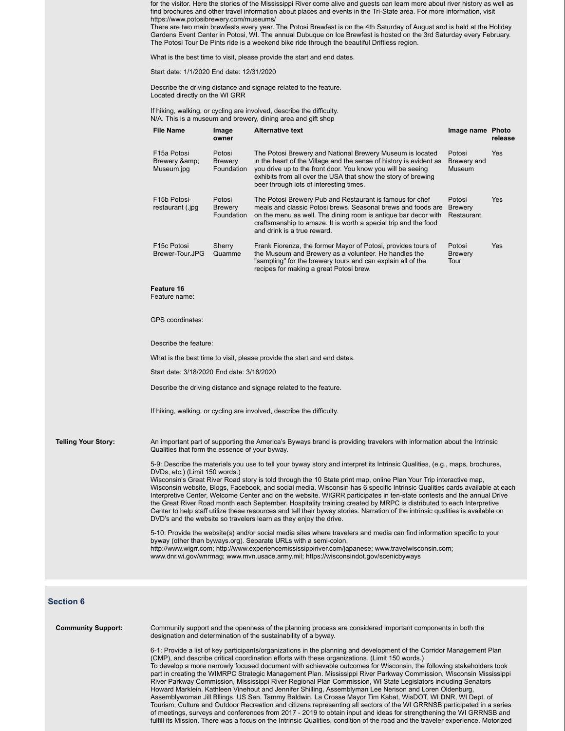for the visitor. Here the stories of the Mississippi River come alive and guests can learn more about river history as well as find brochures and other travel information about places and events in the Tri-State area. For more information, visit https://www.potosibrewery.com/museums/

There are two main brewfests every year. The Potosi Brewfest is on the 4th Saturday of August and is held at the Holiday Gardens Event Center in Potosi, WI. The annual Dubuque on Ice Brewfest is hosted on the 3rd Saturday every February. The Potosi Tour De Pints ride is a weekend bike ride through the beautiful Driftless region.

What is the best time to visit, please provide the start and end dates.

Start date: 1/1/2020 End date: 12/31/2020

Describe the driving distance and signage related to the feature. Located directly on the WI GRR

If hiking, walking, or cycling are involved, describe the difficulty. N/A. This is a museum and brewery, dining area and gift shop

|                            | <b>File Name</b>                               | Image<br>owner                         | <b>Alternative text</b>                                                                                                                                                                                                                                                                                                                                                                                                                                                                                                                                                                                                                                                                                                                                                                                                                                                                                                                                                                                                                                                                                                                                                                                                           | Image name Photo                 | release |
|----------------------------|------------------------------------------------|----------------------------------------|-----------------------------------------------------------------------------------------------------------------------------------------------------------------------------------------------------------------------------------------------------------------------------------------------------------------------------------------------------------------------------------------------------------------------------------------------------------------------------------------------------------------------------------------------------------------------------------------------------------------------------------------------------------------------------------------------------------------------------------------------------------------------------------------------------------------------------------------------------------------------------------------------------------------------------------------------------------------------------------------------------------------------------------------------------------------------------------------------------------------------------------------------------------------------------------------------------------------------------------|----------------------------------|---------|
|                            | F15a Potosi<br>Brewery &<br>Museum.jpg         | Potosi<br><b>Brewery</b><br>Foundation | The Potosi Brewery and National Brewery Museum is located<br>in the heart of the Village and the sense of history is evident as<br>you drive up to the front door. You know you will be seeing<br>exhibits from all over the USA that show the story of brewing<br>beer through lots of interesting times.                                                                                                                                                                                                                                                                                                                                                                                                                                                                                                                                                                                                                                                                                                                                                                                                                                                                                                                        | Potosi<br>Brewery and<br>Museum  | Yes     |
|                            | F15b Potosi-<br>restaurant (.jpg               | Potosi<br><b>Brewery</b><br>Foundation | The Potosi Brewery Pub and Restaurant is famous for chef<br>meals and classic Potosi brews. Seasonal brews and foods are Brewery<br>on the menu as well. The dining room is antique bar decor with<br>craftsmanship to amaze. It is worth a special trip and the food<br>and drink is a true reward.                                                                                                                                                                                                                                                                                                                                                                                                                                                                                                                                                                                                                                                                                                                                                                                                                                                                                                                              | Potosi<br>Restaurant             | Yes     |
|                            | F15c Potosi<br>Brewer-Tour.JPG                 | Sherry<br>Quamme                       | Frank Fiorenza, the former Mayor of Potosi, provides tours of<br>the Museum and Brewery as a volunteer. He handles the<br>"sampling" for the brewery tours and can explain all of the<br>recipes for making a great Potosi brew.                                                                                                                                                                                                                                                                                                                                                                                                                                                                                                                                                                                                                                                                                                                                                                                                                                                                                                                                                                                                  | Potosi<br><b>Brewery</b><br>Tour | Yes     |
|                            | Feature 16<br>Feature name:                    |                                        |                                                                                                                                                                                                                                                                                                                                                                                                                                                                                                                                                                                                                                                                                                                                                                                                                                                                                                                                                                                                                                                                                                                                                                                                                                   |                                  |         |
|                            | <b>GPS</b> coordinates:                        |                                        |                                                                                                                                                                                                                                                                                                                                                                                                                                                                                                                                                                                                                                                                                                                                                                                                                                                                                                                                                                                                                                                                                                                                                                                                                                   |                                  |         |
|                            | Describe the feature:                          |                                        |                                                                                                                                                                                                                                                                                                                                                                                                                                                                                                                                                                                                                                                                                                                                                                                                                                                                                                                                                                                                                                                                                                                                                                                                                                   |                                  |         |
|                            |                                                |                                        | What is the best time to visit, please provide the start and end dates.                                                                                                                                                                                                                                                                                                                                                                                                                                                                                                                                                                                                                                                                                                                                                                                                                                                                                                                                                                                                                                                                                                                                                           |                                  |         |
|                            | Start date: 3/18/2020 End date: 3/18/2020      |                                        |                                                                                                                                                                                                                                                                                                                                                                                                                                                                                                                                                                                                                                                                                                                                                                                                                                                                                                                                                                                                                                                                                                                                                                                                                                   |                                  |         |
|                            |                                                |                                        | Describe the driving distance and signage related to the feature.                                                                                                                                                                                                                                                                                                                                                                                                                                                                                                                                                                                                                                                                                                                                                                                                                                                                                                                                                                                                                                                                                                                                                                 |                                  |         |
|                            |                                                |                                        | If hiking, walking, or cycling are involved, describe the difficulty.                                                                                                                                                                                                                                                                                                                                                                                                                                                                                                                                                                                                                                                                                                                                                                                                                                                                                                                                                                                                                                                                                                                                                             |                                  |         |
| <b>Telling Your Story:</b> | Qualities that form the essence of your byway. |                                        | An important part of supporting the America's Byways brand is providing travelers with information about the Intrinsic                                                                                                                                                                                                                                                                                                                                                                                                                                                                                                                                                                                                                                                                                                                                                                                                                                                                                                                                                                                                                                                                                                            |                                  |         |
|                            | DVDs, etc.) (Limit 150 words.)                 |                                        | 5-9: Describe the materials you use to tell your byway story and interpret its Intrinsic Qualities, (e.g., maps, brochures,<br>Wisconsin's Great River Road story is told through the 10 State print map, online Plan Your Trip interactive map,<br>Wisconsin website, Blogs, Facebook, and social media. Wisconsin has 6 specific Intrinsic Qualities cards available at each<br>Interpretive Center, Welcome Center and on the website. WIGRR participates in ten-state contests and the annual Drive<br>the Great River Road month each September. Hospitality training created by MRPC is distributed to each Interpretive<br>Center to help staff utilize these resources and tell their byway stories. Narration of the intrinsic qualities is available on<br>DVD's and the website so travelers learn as they enjoy the drive.<br>5-10: Provide the website(s) and/or social media sites where travelers and media can find information specific to your<br>byway (other than byways.org). Separate URLs with a semi-colon.<br>http://www.wigrr.com; http://www.experiencemississippiriver.com/japanese; www.travelwisconsin.com;<br>www.dnr.wi.gov/wnrmag; www.mvn.usace.army.mil; https://wisconsindot.gov/scenicbyways |                                  |         |
|                            |                                                |                                        |                                                                                                                                                                                                                                                                                                                                                                                                                                                                                                                                                                                                                                                                                                                                                                                                                                                                                                                                                                                                                                                                                                                                                                                                                                   |                                  |         |

### **Section 6**

**Community Support:** Community support and the openness of the planning process are considered important components in both the designation and determination of the sustainability of a byway. 6-1: Provide a list of key participants/organizations in the planning and development of the Corridor Management Plan (CMP), and describe critical coordination efforts with these organizations. (Limit 150 words.) To develop a more narrowly focused document with achievable outcomes for Wisconsin, the following stakeholders took part in creating the WIMRPC Strategic Management Plan. Mississippi River Parkway Commission, Wisconsin Mississippi River Parkway Commission, Mississippi River Regional Plan Commission, WI State Legislators including Senators Howard Marklein. Kathleen Vinehout and Jennifer Shilling, Assemblyman Lee Nerison and Loren Oldenburg, Assemblywoman Jill Bllings, US Sen. Tammy Baldwin, La Crosse Mayor Tim Kabat, WisDOT, WI DNR, WI Dept. of

Tourism, Culture and Outdoor Recreation and citizens representing all sectors of the WI GRRNSB participated in a series of meetings, surveys and conferences from 2017 - 2019 to obtain input and ideas for strengthening the WI GRRNSB and fulfill its Mission. There was a focus on the Intrinsic Qualities, condition of the road and the traveler experience. Motorized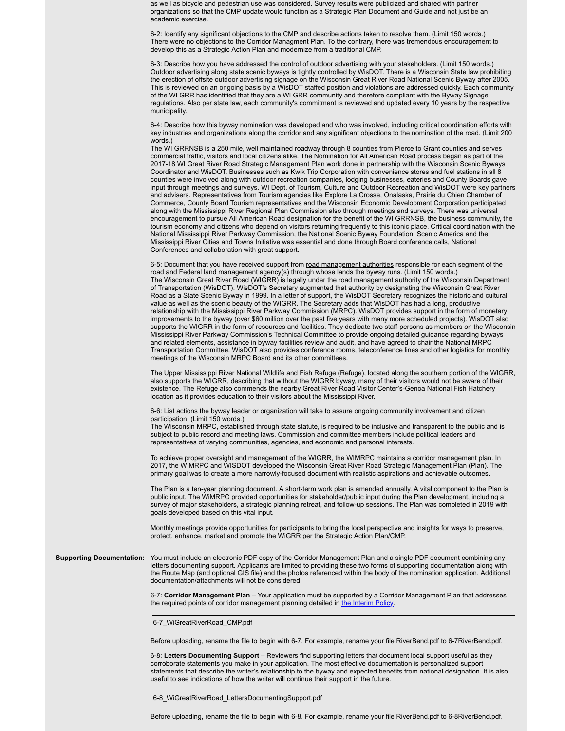as well as bicycle and pedestrian use was considered. Survey results were publicized and shared with partner organizations so that the CMP update would function as a Strategic Plan Document and Guide and not just be an academic exercise.

6-2: Identify any significant objections to the CMP and describe actions taken to resolve them. (Limit 150 words.) There were no objections to the Corridor Managment Plan. To the contrary, there was tremendous encouragement to develop this as a Strategic Action Plan and modernize from a traditional CMP.

6-3: Describe how you have addressed the control of outdoor advertising with your stakeholders. (Limit 150 words.) Outdoor advertising along state scenic byways is tightly controlled by WisDOT. There is a Wisconsin State law prohibiting the erection of offsite outdoor advertising signage on the Wisconsin Great River Road National Scenic Byway after 2005. This is reviewed on an ongoing basis by a WisDOT staffed position and violations are addressed quickly. Each community of the WI GRR has identified that they are a WI GRR community and therefore compliant with the Byway Signage regulations. Also per state law, each community's commitment is reviewed and updated every 10 years by the respective municipality.

6-4: Describe how this byway nomination was developed and who was involved, including critical coordination efforts with key industries and organizations along the corridor and any significant objections to the nomination of the road. (Limit 200 words.)

The WI GRRNSB is a 250 mile, well maintained roadway through 8 counties from Pierce to Grant counties and serves commercial traffic, visitors and local citizens alike. The Nomination for All American Road process began as part of the 2017-18 WI Great River Road Strategic Management Plan work done in partnership with the Wisconsin Scenic Byways Coordinator and WisDOT. Businesses such as Kwik Trip Corporation with convenience stores and fuel stations in all 8 counties were involved along with outdoor recreation companies, lodging businesses, eateries and County Boards gave input through meetings and surveys. WI Dept. of Tourism, Culture and Outdoor Recreation and WisDOT were key partners and advisers. Representatives from Tourism agencies like Explore La Crosse, Onalaska, Prairie du Chien Chamber of Commerce, County Board Tourism representatives and the Wisconsin Economic Development Corporation participated along with the Mississippi River Regional Plan Commission also through meetings and surveys. There was universal encouragement to pursue All American Road designation for the benefit of the WI GRRNSB, the business community, the tourism economy and citizens who depend on visitors returning frequently to this iconic place. Critical coordination with the National Mississippi River Parkway Commission, the National Scenic Byway Foundation, Scenic America and the Mississippi River Cities and Towns Initiative was essential and done through Board conference calls, National Conferences and collaboration with great support.

6-5: Document that you have received support from road management authorities responsible for each segment of the road and Federal land management agency(s) through whose lands the byway runs. (Limit 150 words.) The Wisconsin Great River Road (WIGRR) is legally under the road management authority of the Wisconsin Department of Transportation (WisDOT). WisDOT's Secretary augmented that authority by designating the Wisconsin Great River Road as a State Scenic Byway in 1999. In a letter of support, the WisDOT Secretary recognizes the historic and cultural value as well as the scenic beauty of the WIGRR. The Secretary adds that WisDOT has had a long, productive relationship with the Mississippi River Parkway Commission (MRPC). WisDOT provides support in the form of monetary improvements to the byway (over \$60 million over the past five years with many more scheduled projects). WisDOT also supports the WIGRR in the form of resources and facilities. They dedicate two staff-persons as members on the Wisconsin Mississippi River Parkway Commission's Technical Committee to provide ongoing detailed guidance regarding byways and related elements, assistance in byway facilities review and audit, and have agreed to chair the National MRPC Transportation Committee. WisDOT also provides conference rooms, teleconference lines and other logistics for monthly meetings of the Wisconsin MRPC Board and its other committees.

The Upper Mississippi River National Wildlife and Fish Refuge (Refuge), located along the southern portion of the WIGRR, also supports the WIGRR, describing that without the WIGRR byway, many of their visitors would not be aware of their existence. The Refuge also commends the nearby Great River Road Visitor Center's-Genoa National Fish Hatchery location as it provides education to their visitors about the Mississippi River.

6-6: List actions the byway leader or organization will take to assure ongoing community involvement and citizen participation. (Limit 150 words.)

The Wisconsin MRPC, established through state statute, is required to be inclusive and transparent to the public and is subject to public record and meeting laws. Commission and committee members include political leaders and representatives of varying communities, agencies, and economic and personal interests.

To achieve proper oversight and management of the WIGRR, the WIMRPC maintains a corridor management plan. In 2017, the WIMRPC and WISDOT developed the Wisconsin Great River Road Strategic Management Plan (Plan). The primary goal was to create a more narrowly-focused document with realistic aspirations and achievable outcomes.

The Plan is a ten-year planning document. A short-term work plan is amended annually. A vital component to the Plan is public input. The WiMRPC provided opportunities for stakeholder/public input during the Plan development, including a survey of major stakeholders, a strategic planning retreat, and follow-up sessions. The Plan was completed in 2019 with goals developed based on this vital input.

Monthly meetings provide opportunities for participants to bring the local perspective and insights for ways to preserve, protect, enhance, market and promote the WiGRR per the Strategic Action Plan/CMP.

**Supporting Documentation:** You must include an electronic PDF copy of the Corridor Management Plan and a single PDF document combining any letters documenting support. Applicants are limited to providing these two forms of supporting documentation along with the Route Map (and optional GIS file) and the photos referenced within the body of the nomination application. Additional documentation/attachments will not be considered.

> 6-7: **Corridor Management Plan** – Your application must be supported by a Corridor Management Plan that addresses the required points of corridor management planning detailed in the Interim Policy.

6-7\_WiGreatRiverRoad\_CMP.pdf

Before uploading, rename the file to begin with 6-7. For example, rename your file RiverBend.pdf to 6-7RiverBend.pdf.

6-8: **Letters Documenting Support** – Reviewers find supporting letters that document local support useful as they corroborate statements you make in your application. The most effective documentation is personalized support statements that describe the writer's relationship to the byway and expected benefits from national designation. It is also useful to see indications of how the writer will continue their support in the future.

6-8\_WiGreatRiverRoad\_LettersDocumentingSupport.pdf

Before uploading, rename the file to begin with 6-8. For example, rename your file RiverBend.pdf to 6-8RiverBend.pdf.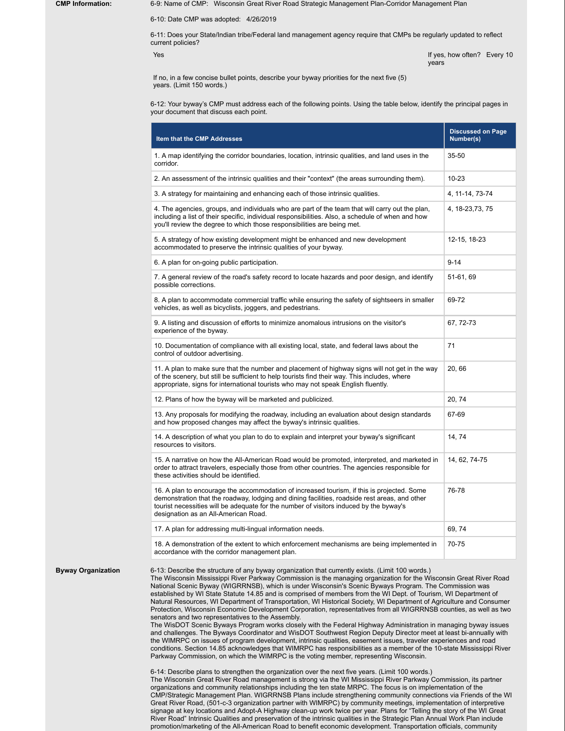**Byway Organization** 

**CMP Information:** 6-9: Name of CMP: Wisconsin Great River Road Strategic Management Plan-Corridor Management Plan

6-10: Date CMP was adopted: 4/26/2019

6-11: Does your State/Indian tribe/Federal land management agency require that CMPs be regularly updated to reflect current policies?

Yes If yes, how often? Every 10 years

If no, in a few concise bullet points, describe your byway priorities for the next five (5) years. (Limit 150 words.)

6-12: Your byway's CMP must address each of the following points. Using the table below, identify the principal pages in your document that discuss each point.

| Item that the CMP Addresses                                                                                                                                                                                                                                                                                                                                                                                                                                                                                                                                                                                                                                                                                                                                                                                                                                                | <b>Discussed on Page</b><br>Number(s) |
|----------------------------------------------------------------------------------------------------------------------------------------------------------------------------------------------------------------------------------------------------------------------------------------------------------------------------------------------------------------------------------------------------------------------------------------------------------------------------------------------------------------------------------------------------------------------------------------------------------------------------------------------------------------------------------------------------------------------------------------------------------------------------------------------------------------------------------------------------------------------------|---------------------------------------|
| 1. A map identifying the corridor boundaries, location, intrinsic qualities, and land uses in the<br>corridor.                                                                                                                                                                                                                                                                                                                                                                                                                                                                                                                                                                                                                                                                                                                                                             | 35-50                                 |
| 2. An assessment of the intrinsic qualities and their "context" (the areas surrounding them).                                                                                                                                                                                                                                                                                                                                                                                                                                                                                                                                                                                                                                                                                                                                                                              | 10-23                                 |
| 3. A strategy for maintaining and enhancing each of those intrinsic qualities.                                                                                                                                                                                                                                                                                                                                                                                                                                                                                                                                                                                                                                                                                                                                                                                             | 4, 11-14, 73-74                       |
| 4. The agencies, groups, and individuals who are part of the team that will carry out the plan,<br>including a list of their specific, individual responsibilities. Also, a schedule of when and how<br>you'll review the degree to which those responsibilities are being met.                                                                                                                                                                                                                                                                                                                                                                                                                                                                                                                                                                                            | 4, 18-23, 73, 75                      |
| 5. A strategy of how existing development might be enhanced and new development<br>accommodated to preserve the intrinsic qualities of your byway.                                                                                                                                                                                                                                                                                                                                                                                                                                                                                                                                                                                                                                                                                                                         | 12-15, 18-23                          |
| 6. A plan for on-going public participation.                                                                                                                                                                                                                                                                                                                                                                                                                                                                                                                                                                                                                                                                                                                                                                                                                               | $9 - 14$                              |
| 7. A general review of the road's safety record to locate hazards and poor design, and identify<br>possible corrections.                                                                                                                                                                                                                                                                                                                                                                                                                                                                                                                                                                                                                                                                                                                                                   | 51-61, 69                             |
| 8. A plan to accommodate commercial traffic while ensuring the safety of sightseers in smaller<br>vehicles, as well as bicyclists, joggers, and pedestrians.                                                                                                                                                                                                                                                                                                                                                                                                                                                                                                                                                                                                                                                                                                               | 69-72                                 |
| 9. A listing and discussion of efforts to minimize anomalous intrusions on the visitor's<br>experience of the byway.                                                                                                                                                                                                                                                                                                                                                                                                                                                                                                                                                                                                                                                                                                                                                       | 67, 72-73                             |
| 10. Documentation of compliance with all existing local, state, and federal laws about the<br>control of outdoor advertising.                                                                                                                                                                                                                                                                                                                                                                                                                                                                                                                                                                                                                                                                                                                                              | 71                                    |
| 11. A plan to make sure that the number and placement of highway signs will not get in the way<br>of the scenery, but still be sufficient to help tourists find their way. This includes, where<br>appropriate, signs for international tourists who may not speak English fluently.                                                                                                                                                                                                                                                                                                                                                                                                                                                                                                                                                                                       | 20, 66                                |
| 12. Plans of how the byway will be marketed and publicized.                                                                                                                                                                                                                                                                                                                                                                                                                                                                                                                                                                                                                                                                                                                                                                                                                | 20, 74                                |
| 13. Any proposals for modifying the roadway, including an evaluation about design standards<br>and how proposed changes may affect the byway's intrinsic qualities.                                                                                                                                                                                                                                                                                                                                                                                                                                                                                                                                                                                                                                                                                                        | 67-69                                 |
| 14. A description of what you plan to do to explain and interpret your byway's significant<br>resources to visitors.                                                                                                                                                                                                                                                                                                                                                                                                                                                                                                                                                                                                                                                                                                                                                       | 14, 74                                |
| 15. A narrative on how the All-American Road would be promoted, interpreted, and marketed in<br>order to attract travelers, especially those from other countries. The agencies responsible for<br>these activities should be identified.                                                                                                                                                                                                                                                                                                                                                                                                                                                                                                                                                                                                                                  | 14, 62, 74-75                         |
| 16. A plan to encourage the accommodation of increased tourism, if this is projected. Some<br>demonstration that the roadway, lodging and dining facilities, roadside rest areas, and other<br>tourist necessities will be adequate for the number of visitors induced by the byway's<br>designation as an All-American Road.                                                                                                                                                                                                                                                                                                                                                                                                                                                                                                                                              | 76-78                                 |
| 17. A plan for addressing multi-lingual information needs.                                                                                                                                                                                                                                                                                                                                                                                                                                                                                                                                                                                                                                                                                                                                                                                                                 | 69, 74                                |
| 18. A demonstration of the extent to which enforcement mechanisms are being implemented in<br>accordance with the corridor management plan.                                                                                                                                                                                                                                                                                                                                                                                                                                                                                                                                                                                                                                                                                                                                | 70-75                                 |
| 6-13: Describe the structure of any byway organization that currently exists. (Limit 100 words.)<br>The Wisconsin Mississippi River Parkway Commission is the managing organization for the Wisconsin Great River Road<br>National Scenic Byway (WIGRRNSB), which is under Wisconsin's Scenic Byways Program. The Commission was<br>established by WI State Statute 14.85 and is comprised of members from the WI Dept. of Tourism. WI Department of<br>Natural Resources, WI Department of Transportation, WI Historical Society, WI Department of Agriculture and Consumer<br>Protection, Wisconsin Economic Development Corporation, representatives from all WIGRRNSB counties, as well as two<br>senators and two representatives to the Assembly.<br>The WisDOT Scenic Byways Program works closely with the Federal Highway Administration in managing byway issues |                                       |

and challenges. The Byways Coordinator and WisDOT Southwest Region Deputy Director meet at least bi-annually with the WIMRPC on issues of program development, intrinsic qualities, easement issues, traveler experiences and road conditions. Section 14.85 acknowledges that WIMRPC has responsibilities as a member of the 10-state Mississippi River Parkway Commission, on which the WIMRPC is the voting member, representing Wisconsin.

6-14: Describe plans to strengthen the organization over the next five years. (Limit 100 words.) The Wisconsin Great River Road management is strong via the WI Mississippi River Parkway Commission, its partner organizations and community relationships including the ten state MRPC. The focus is on implementation of the CMP/Strategic Management Plan. WIGRRNSB Plans include strengthening community connections via Friends of the WI Great River Road, (501-c-3 organization partner with WIMRPC) by community meetings, implementation of interpretive signage at key locations and Adopt-A Highway clean-up work twice per year. Plans for "Telling the story of the WI Great River Road" Intrinsic Qualities and preservation of the intrinsic qualities in the Strategic Plan Annual Work Plan include promotion/marketing of the All-American Road to benefit economic development. Transportation officials, community